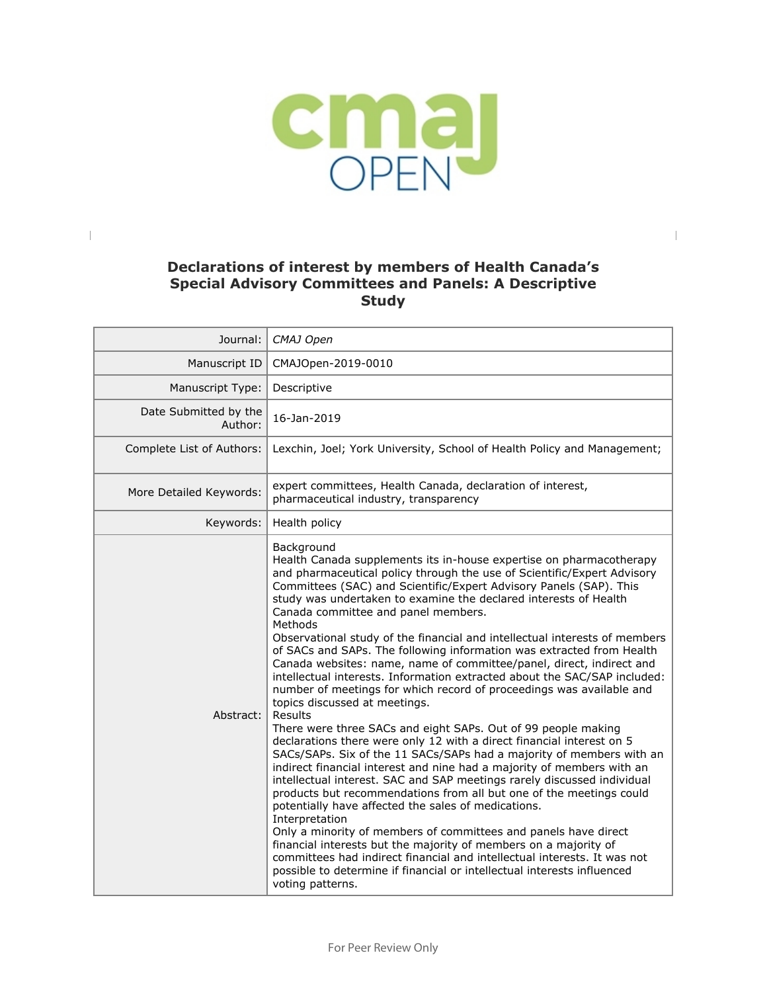

## **Declarations of interest by members of Health Canada's Special Advisory Committees and Panels: A Descriptive Study**

 $\mathbb{R}$ 

| Journal:                         | CMAJ Open                                                                                                                                                                                                                                                                                                                                                                                                                                                                                                                                                                                                                                                                                                                                                                                                                                                                                                                                                                                                                                                                                                                                                                                                                                                                                                                                                                                                                                                                                                                                                                                                                         |
|----------------------------------|-----------------------------------------------------------------------------------------------------------------------------------------------------------------------------------------------------------------------------------------------------------------------------------------------------------------------------------------------------------------------------------------------------------------------------------------------------------------------------------------------------------------------------------------------------------------------------------------------------------------------------------------------------------------------------------------------------------------------------------------------------------------------------------------------------------------------------------------------------------------------------------------------------------------------------------------------------------------------------------------------------------------------------------------------------------------------------------------------------------------------------------------------------------------------------------------------------------------------------------------------------------------------------------------------------------------------------------------------------------------------------------------------------------------------------------------------------------------------------------------------------------------------------------------------------------------------------------------------------------------------------------|
| Manuscript ID                    | CMAJOpen-2019-0010                                                                                                                                                                                                                                                                                                                                                                                                                                                                                                                                                                                                                                                                                                                                                                                                                                                                                                                                                                                                                                                                                                                                                                                                                                                                                                                                                                                                                                                                                                                                                                                                                |
| Manuscript Type:                 | Descriptive                                                                                                                                                                                                                                                                                                                                                                                                                                                                                                                                                                                                                                                                                                                                                                                                                                                                                                                                                                                                                                                                                                                                                                                                                                                                                                                                                                                                                                                                                                                                                                                                                       |
| Date Submitted by the<br>Author: | 16-Jan-2019                                                                                                                                                                                                                                                                                                                                                                                                                                                                                                                                                                                                                                                                                                                                                                                                                                                                                                                                                                                                                                                                                                                                                                                                                                                                                                                                                                                                                                                                                                                                                                                                                       |
| Complete List of Authors:        | Lexchin, Joel; York University, School of Health Policy and Management;                                                                                                                                                                                                                                                                                                                                                                                                                                                                                                                                                                                                                                                                                                                                                                                                                                                                                                                                                                                                                                                                                                                                                                                                                                                                                                                                                                                                                                                                                                                                                           |
| More Detailed Keywords:          | expert committees, Health Canada, declaration of interest,<br>pharmaceutical industry, transparency                                                                                                                                                                                                                                                                                                                                                                                                                                                                                                                                                                                                                                                                                                                                                                                                                                                                                                                                                                                                                                                                                                                                                                                                                                                                                                                                                                                                                                                                                                                               |
| Keywords:                        | Health policy                                                                                                                                                                                                                                                                                                                                                                                                                                                                                                                                                                                                                                                                                                                                                                                                                                                                                                                                                                                                                                                                                                                                                                                                                                                                                                                                                                                                                                                                                                                                                                                                                     |
| Abstract:                        | Background<br>Health Canada supplements its in-house expertise on pharmacotherapy<br>and pharmaceutical policy through the use of Scientific/Expert Advisory<br>Committees (SAC) and Scientific/Expert Advisory Panels (SAP). This<br>study was undertaken to examine the declared interests of Health<br>Canada committee and panel members.<br>Methods<br>Observational study of the financial and intellectual interests of members<br>of SACs and SAPs. The following information was extracted from Health<br>Canada websites: name, name of committee/panel, direct, indirect and<br>intellectual interests. Information extracted about the SAC/SAP included:<br>number of meetings for which record of proceedings was available and<br>topics discussed at meetings.<br>Results<br>There were three SACs and eight SAPs. Out of 99 people making<br>declarations there were only 12 with a direct financial interest on 5<br>SACs/SAPs. Six of the 11 SACs/SAPs had a majority of members with an<br>indirect financial interest and nine had a majority of members with an<br>intellectual interest. SAC and SAP meetings rarely discussed individual<br>products but recommendations from all but one of the meetings could<br>potentially have affected the sales of medications.<br>Interpretation<br>Only a minority of members of committees and panels have direct<br>financial interests but the majority of members on a majority of<br>committees had indirect financial and intellectual interests. It was not<br>possible to determine if financial or intellectual interests influenced<br>voting patterns. |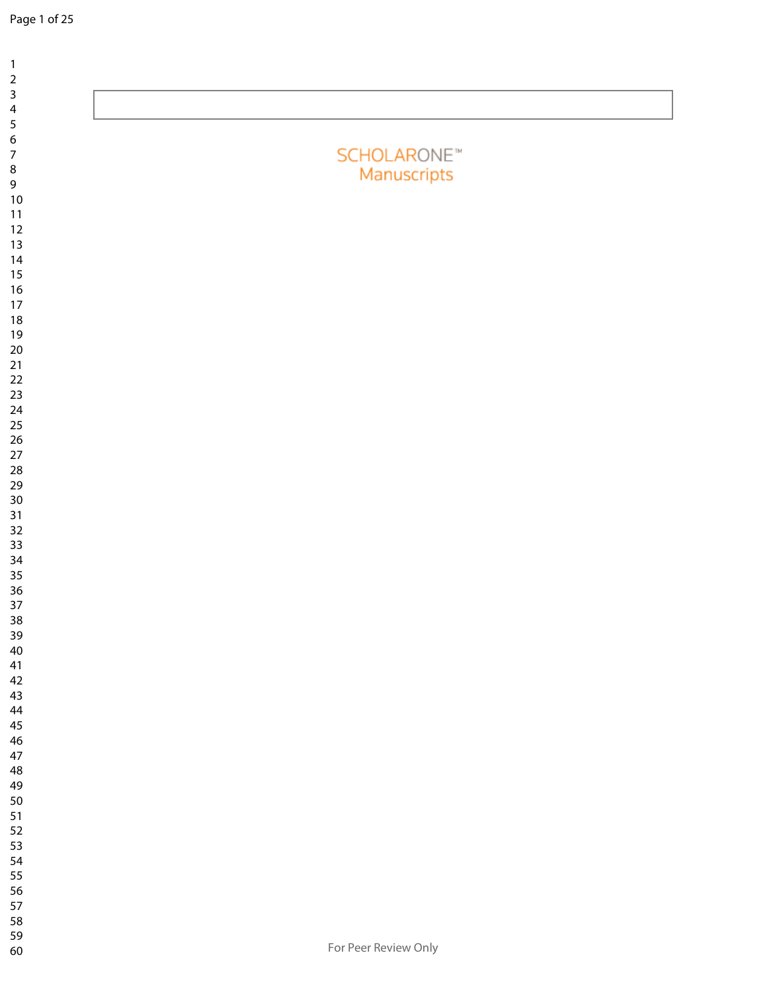$\overline{1}$ 

| $\mathbf{1}$                |                      |
|-----------------------------|----------------------|
| $\mathbf 2$<br>$\mathsf{3}$ |                      |
| $\overline{4}$              |                      |
| 5                           |                      |
| 6                           |                      |
| $\overline{7}$              | <b>SCHOLARONE™</b>   |
| $\bf 8$<br>9                | Manuscripts          |
| 10                          |                      |
| 11                          |                      |
| 12                          |                      |
| 13                          |                      |
| 14                          |                      |
| 15                          |                      |
| 16                          |                      |
| 17<br>18                    |                      |
| 19                          |                      |
| 20                          |                      |
| 21                          |                      |
| 22                          |                      |
| 23                          |                      |
| 24                          |                      |
| 25<br>26                    |                      |
| 27                          |                      |
| 28                          |                      |
| 29                          |                      |
| 30                          |                      |
| 31                          |                      |
| 32                          |                      |
| 33                          |                      |
| 34<br>35                    |                      |
| 36                          |                      |
| 37                          |                      |
| $38\,$                      |                      |
| 39                          |                      |
| 40                          |                      |
| 41                          |                      |
| 42<br>43                    |                      |
| 44                          |                      |
| 45                          |                      |
| 46                          |                      |
| 47                          |                      |
| 48                          |                      |
| 49                          |                      |
| 50<br>51                    |                      |
| 52                          |                      |
| 53                          |                      |
| 54                          |                      |
| 55                          |                      |
| 56                          |                      |
| 57                          |                      |
| 58<br>59                    |                      |
| 60                          | For Peer Review Only |
|                             |                      |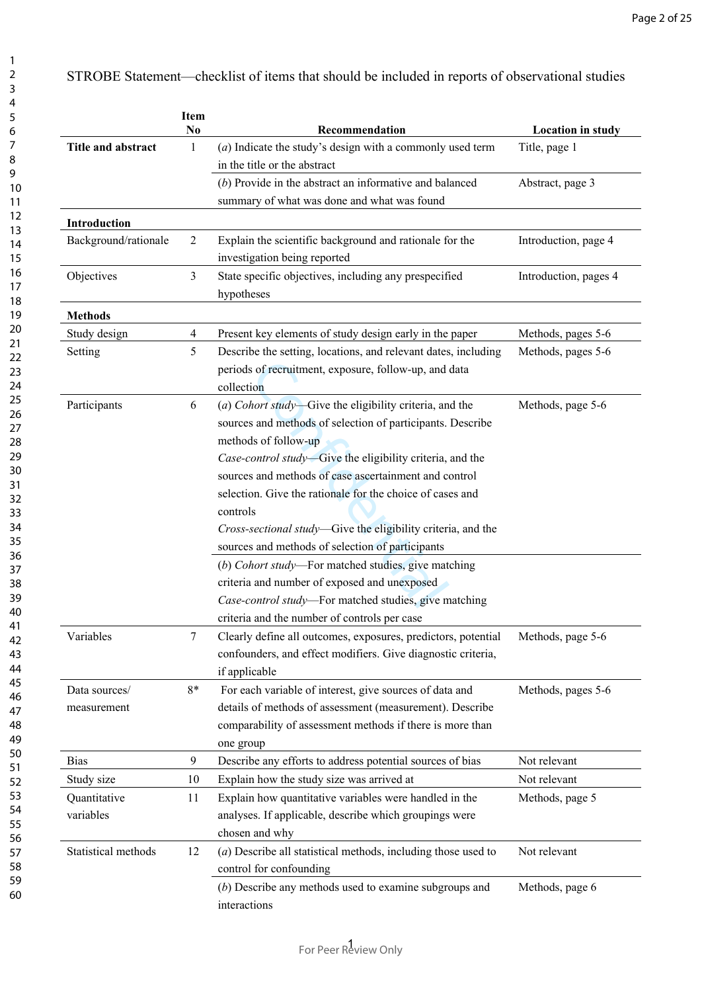STROBE Statement—checklist of items that should be included in reports of observational studies

|                      | Item<br>N <sub>0</sub> | Recommendation                                                  | <b>Location</b> in study |
|----------------------|------------------------|-----------------------------------------------------------------|--------------------------|
| Title and abstract   | 1                      | (a) Indicate the study's design with a commonly used term       | Title, page 1            |
|                      |                        | in the title or the abstract                                    |                          |
|                      |                        | $(b)$ Provide in the abstract an informative and balanced       | Abstract, page 3         |
|                      |                        | summary of what was done and what was found                     |                          |
| Introduction         |                        |                                                                 |                          |
| Background/rationale | $\overline{2}$         | Explain the scientific background and rationale for the         | Introduction, page 4     |
|                      |                        | investigation being reported                                    |                          |
| Objectives           | 3                      | State specific objectives, including any prespecified           | Introduction, pages 4    |
|                      |                        | hypotheses                                                      |                          |
| <b>Methods</b>       |                        |                                                                 |                          |
| Study design         | 4                      | Present key elements of study design early in the paper         | Methods, pages 5-6       |
| Setting              | 5                      | Describe the setting, locations, and relevant dates, including  | Methods, pages 5-6       |
|                      |                        | periods of recruitment, exposure, follow-up, and data           |                          |
|                      |                        | collection                                                      |                          |
| Participants         | 6                      | (a) Cohort study-Give the eligibility criteria, and the         | Methods, page 5-6        |
|                      |                        | sources and methods of selection of participants. Describe      |                          |
|                      |                        | methods of follow-up                                            |                          |
|                      |                        | Case-control study-Give the eligibility criteria, and the       |                          |
|                      |                        | sources and methods of case ascertainment and control           |                          |
|                      |                        | selection. Give the rationale for the choice of cases and       |                          |
|                      |                        | controls                                                        |                          |
|                      |                        | Cross-sectional study-Give the eligibility criteria, and the    |                          |
|                      |                        | sources and methods of selection of participants                |                          |
|                      |                        | (b) Cohort study—For matched studies, give matching             |                          |
|                      |                        | criteria and number of exposed and unexposed                    |                          |
|                      |                        | Case-control study-For matched studies, give matching           |                          |
|                      |                        | criteria and the number of controls per case                    |                          |
| Variables            | 7                      | Clearly define all outcomes, exposures, predictors, potential   | Methods, page 5-6        |
|                      |                        | confounders, and effect modifiers. Give diagnostic criteria,    |                          |
|                      |                        | if applicable                                                   |                          |
| Data sources/        | $8*$                   | For each variable of interest, give sources of data and         | Methods, pages 5-6       |
| measurement          |                        | details of methods of assessment (measurement). Describe        |                          |
|                      |                        | comparability of assessment methods if there is more than       |                          |
|                      |                        | one group                                                       |                          |
| <b>Bias</b>          | 9                      | Describe any efforts to address potential sources of bias       | Not relevant             |
| Study size           | 10                     | Explain how the study size was arrived at                       | Not relevant             |
| Quantitative         | 11                     | Explain how quantitative variables were handled in the          | Methods, page 5          |
| variables            |                        | analyses. If applicable, describe which groupings were          |                          |
|                      |                        | chosen and why                                                  |                          |
| Statistical methods  | 12                     | $(a)$ Describe all statistical methods, including those used to | Not relevant             |
|                      |                        | control for confounding                                         |                          |
|                      |                        | $(b)$ Describe any methods used to examine subgroups and        | Methods, page 6          |
|                      |                        | interactions                                                    |                          |
|                      |                        |                                                                 |                          |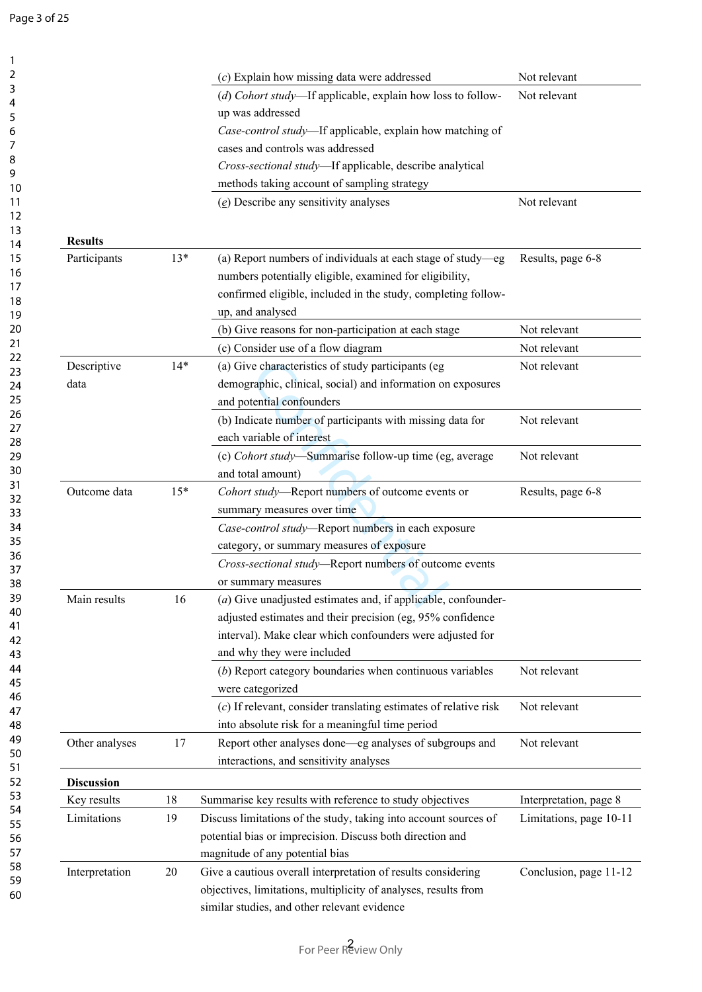|                     |       | $(c)$ Explain how missing data were addressed                                                                                                                                                               | Not relevant            |
|---------------------|-------|-------------------------------------------------------------------------------------------------------------------------------------------------------------------------------------------------------------|-------------------------|
|                     |       | (d) Cohort study—If applicable, explain how loss to follow-<br>up was addressed                                                                                                                             | Not relevant            |
|                     |       | Case-control study-If applicable, explain how matching of<br>cases and controls was addressed                                                                                                               |                         |
|                     |       | Cross-sectional study-If applicable, describe analytical                                                                                                                                                    |                         |
|                     |       | methods taking account of sampling strategy                                                                                                                                                                 |                         |
|                     |       | $(e)$ Describe any sensitivity analyses                                                                                                                                                                     | Not relevant            |
| <b>Results</b>      |       |                                                                                                                                                                                                             |                         |
| Participants        | $13*$ | (a) Report numbers of individuals at each stage of study-eg<br>numbers potentially eligible, examined for eligibility,<br>confirmed eligible, included in the study, completing follow-<br>up, and analysed | Results, page 6-8       |
|                     |       | (b) Give reasons for non-participation at each stage                                                                                                                                                        | Not relevant            |
|                     |       | (c) Consider use of a flow diagram                                                                                                                                                                          | Not relevant            |
| Descriptive<br>data | $14*$ | (a) Give characteristics of study participants (eg<br>demographic, clinical, social) and information on exposures<br>and potential confounders                                                              | Not relevant            |
|                     |       | (b) Indicate number of participants with missing data for<br>each variable of interest                                                                                                                      | Not relevant            |
|                     |       | (c) Cohort study—Summarise follow-up time (eg, average<br>and total amount)                                                                                                                                 | Not relevant            |
| Outcome data        | $15*$ | Cohort study-Report numbers of outcome events or<br>summary measures over time                                                                                                                              | Results, page 6-8       |
|                     |       | Case-control study-Report numbers in each exposure                                                                                                                                                          |                         |
|                     |       | category, or summary measures of exposure                                                                                                                                                                   |                         |
|                     |       | Cross-sectional study-Report numbers of outcome events<br>or summary measures                                                                                                                               |                         |
| Main results        | 16    | (a) Give unadjusted estimates and, if applicable, confounder-<br>adjusted estimates and their precision (eg, 95% confidence<br>interval). Make clear which confounders were adjusted for                    |                         |
|                     |       | and why they were included<br>$(b)$ Report category boundaries when continuous variables<br>were categorized                                                                                                | Not relevant            |
|                     |       | (c) If relevant, consider translating estimates of relative risk<br>into absolute risk for a meaningful time period                                                                                         | Not relevant            |
| Other analyses      | 17    | Report other analyses done-eg analyses of subgroups and<br>interactions, and sensitivity analyses                                                                                                           | Not relevant            |
| <b>Discussion</b>   |       |                                                                                                                                                                                                             |                         |
| Key results         | 18    | Summarise key results with reference to study objectives                                                                                                                                                    | Interpretation, page 8  |
| Limitations         | 19    | Discuss limitations of the study, taking into account sources of<br>potential bias or imprecision. Discuss both direction and<br>magnitude of any potential bias                                            | Limitations, page 10-11 |
| Interpretation      | 20    | Give a cautious overall interpretation of results considering<br>objectives, limitations, multiplicity of analyses, results from<br>similar studies, and other relevant evidence                            | Conclusion, page 11-12  |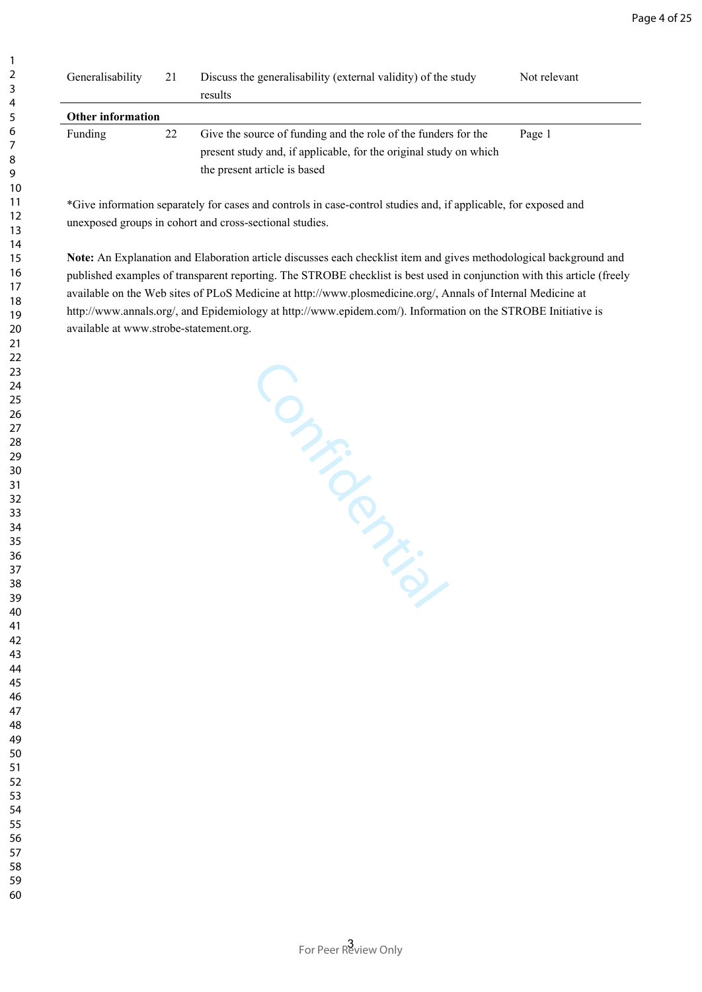|  | Generalisability<br>21   |                                                                   | Discuss the generalisability (external validity) of the study  | Not relevant |  |
|--|--------------------------|-------------------------------------------------------------------|----------------------------------------------------------------|--------------|--|
|  |                          | results                                                           |                                                                |              |  |
|  | <b>Other information</b> |                                                                   |                                                                |              |  |
|  | Funding                  | 22                                                                | Give the source of funding and the role of the funders for the | Page 1       |  |
|  |                          | present study and, if applicable, for the original study on which |                                                                |              |  |
|  |                          |                                                                   |                                                                |              |  |

\*Give information separately for cases and controls in case-control studies and, if applicable, for exposed and unexposed groups in cohort and cross-sectional studies.

**Note:** An Explanation and Elaboration article discusses each checklist item and gives methodological background and published examples of transparent reporting. The STROBE checklist is best used in conjunction with this article (freely available on the Web sites of PLoS Medicine at http://www.plosmedicine.org/, Annals of Internal Medicine at http://www.annals.org/, and Epidemiology at http://www.epidem.com/). Information on the STROBE Initiative is available at www.strobe-statement.org.

Confidence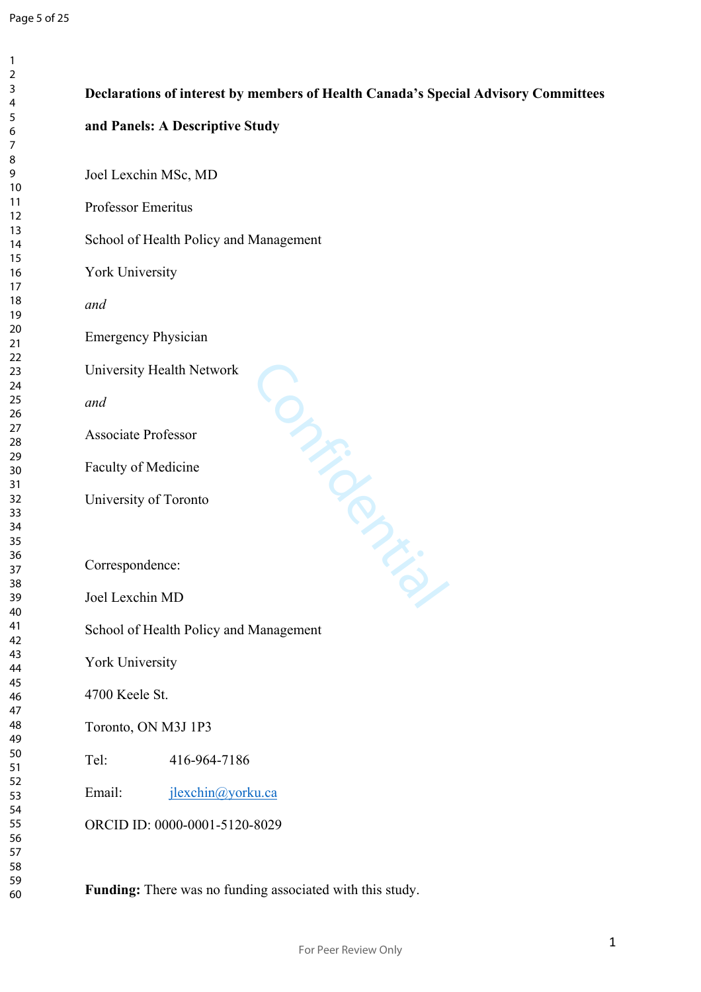|                            | and Panels: A Descriptive Study        |
|----------------------------|----------------------------------------|
|                            | Joel Lexchin MSc, MD                   |
| Professor Emeritus         |                                        |
|                            | School of Health Policy and Management |
| York University            |                                        |
| and                        |                                        |
| <b>Emergency Physician</b> |                                        |
|                            | University Health Network              |
| and                        |                                        |
| Associate Professor        |                                        |
| Faculty of Medicine        |                                        |
|                            | TOK.<br>University of Toronto          |
|                            | RIVER                                  |
| Correspondence:            |                                        |
| Joel Lexchin MD            | v                                      |
|                            | School of Health Policy and Management |
| <b>York University</b>     |                                        |
| 4700 Keele St.             |                                        |
| Toronto, ON M3J 1P3        |                                        |
| Tel:                       | 416-964-7186                           |
| Email:                     | jlexchin@yorku.ca                      |
|                            | ORCID ID: 0000-0001-5120-8029          |

Funding: There was no funding associated with this study.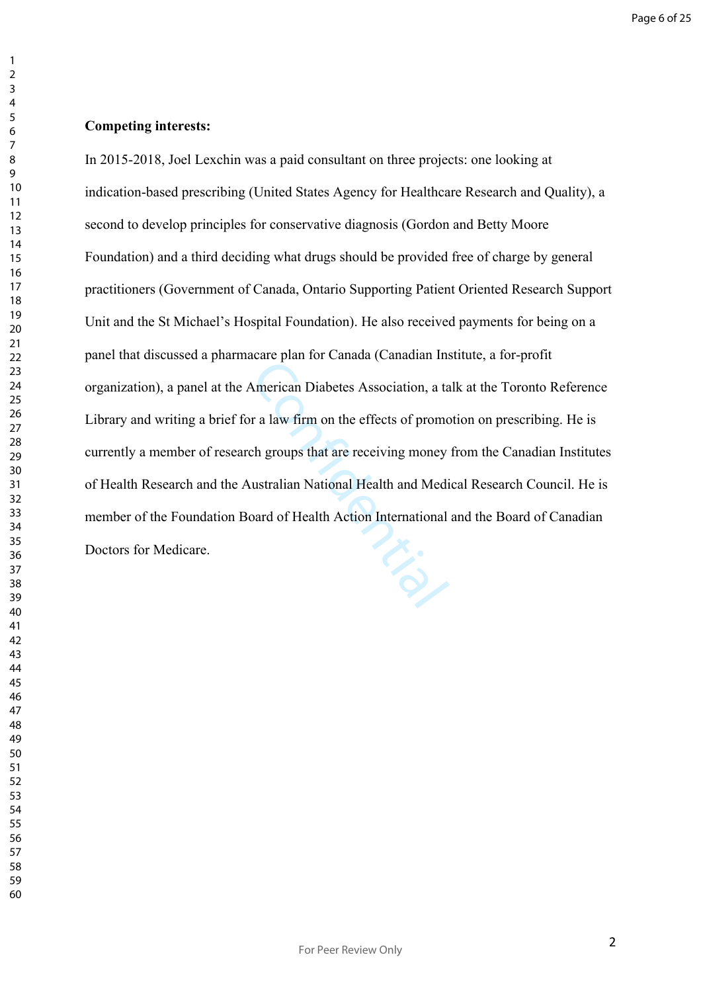Page 6 of 25

### **Competing interests:**

 $\frac{d}{d}$ In 2015-2018, Joel Lexchin was a paid consultant on three projects: one looking at indication-based prescribing (United States Agency for Healthcare Research and Quality), a second to develop principles for conservative diagnosis (Gordon and Betty Moore Foundation) and a third deciding what drugs should be provided free of charge by general practitioners (Government of Canada, Ontario Supporting Patient Oriented Research Support Unit and the St Michael's Hospital Foundation). He also received payments for being on a panel that discussed a pharmacare plan for Canada (Canadian Institute, a for-profit organization), a panel at the American Diabetes Association, a talk at the Toronto Reference Library and writing a brief for a law firm on the effects of promotion on prescribing. He is currently a member of research groups that are receiving money from the Canadian Institutes of Health Research and the Australian National Health and Medical Research Council. He is member of the Foundation Board of Health Action International and the Board of Canadian Doctors for Medicare.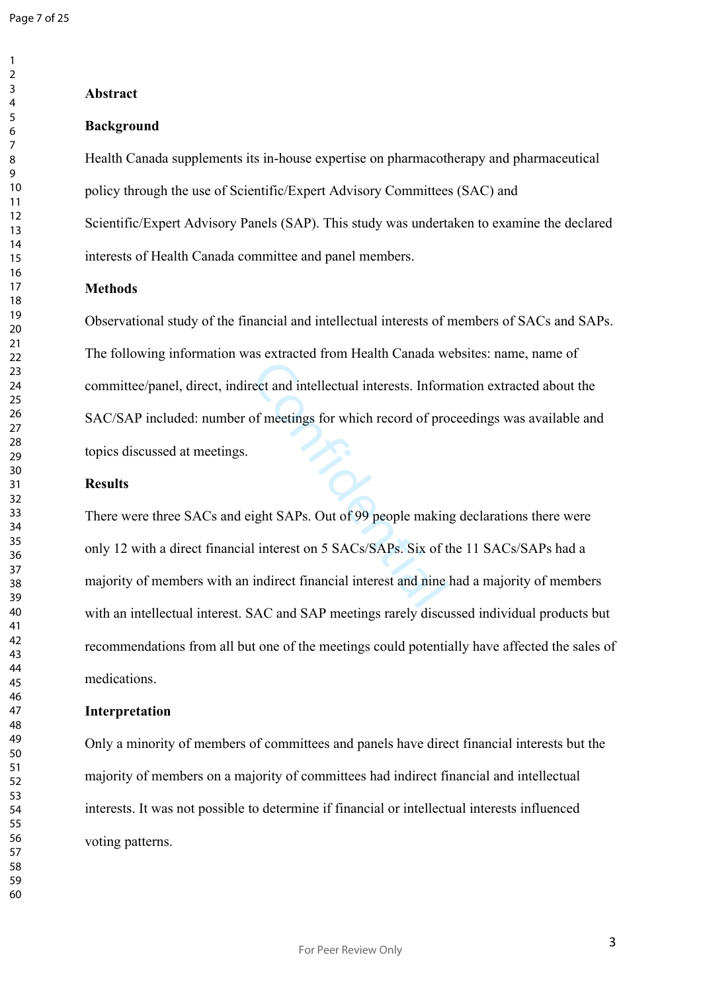### **Abstract**

### **Background**

Health Canada supplements its in-house expertise on pharmacotherapy and pharmaceutical policy through the use of Scientific/Expert Advisory Committees (SAC) and Scientific/Expert Advisory Panels (SAP). This study was undertaken to examine the declared interests of Health Canada committee and panel members.

### **Methods**

Example 11 The Contractor Contractor Contractor Contractor Contractor Contractor Contractor of properties of the SAPs. Out of 99 people making 1 interest on 5 SACs/SAPs. Six of the indirect financial interest and nine Observational study of the financial and intellectual interests of members of SACs and SAPs. The following information was extracted from Health Canada websites: name, name of committee/panel, direct, indirect and intellectual interests. Information extracted about the SAC/SAP included: number of meetings for which record of proceedings was available and topics discussed at meetings.

### **Results**

There were three SACs and eight SAPs. Out of 99 people making declarations there were only 12 with a direct financial interest on 5 SACs/SAPs. Six of the 11 SACs/SAPs had a majority of members with an indirect financial interest and nine had a majority of members with an intellectual interest. SAC and SAP meetings rarely discussed individual products but recommendations from all but one of the meetings could potentially have affected the sales of medications.

### **Interpretation**

Only a minority of members of committees and panels have direct financial interests but the majority of members on a majority of committees had indirect financial and intellectual interests. It was not possible to determine if financial or intellectual interests influenced voting patterns.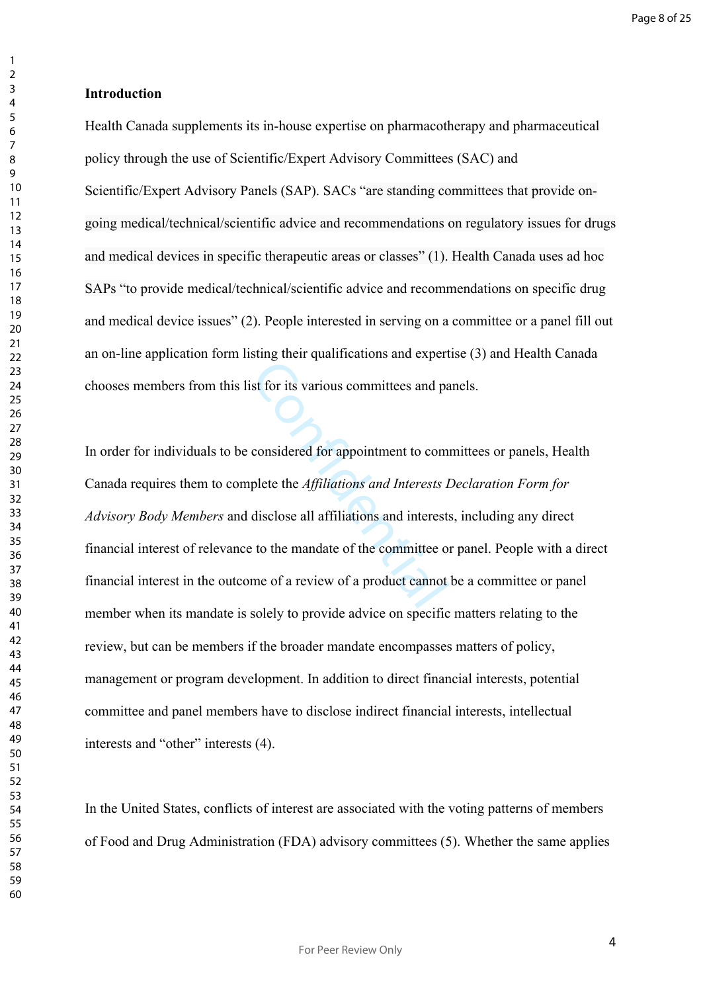### **Introduction**

Health Canada supplements its in-house expertise on pharmacotherapy and pharmaceutical policy through the use of Scientific/Expert Advisory Committees (SAC) and Scientific/Expert Advisory Panels (SAP). SACs "are standing committees that provide ongoing medical/technical/scientific advice and recommendations on regulatory issues for drugs and medical devices in specific therapeutic areas or classes" (1). Health Canada uses ad hoc SAPs "to provide medical/technical/scientific advice and recommendations on specific drug and medical device issues" (2). People interested in serving on a committee or a panel fill out an on-line application form listing their qualifications and expertise (3) and Health Canada chooses members from this list for its various committees and panels.

st for its various committees and particles and particles and particles of the state of the *Affiliations and Interests I* disclose all affiliations and interests *I* to the mandate of the committee of the committee of a r In order for individuals to be considered for appointment to committees or panels, Health Canada requires them to complete the *Affiliations and Interests Declaration Form for Advisory Body Members* and disclose all affiliations and interests, including any direct financial interest of relevance to the mandate of the committee or panel. People with a direct financial interest in the outcome of a review of a product cannot be a committee or panel member when its mandate is solely to provide advice on specific matters relating to the review, but can be members if the broader mandate encompasses matters of policy, management or program development. In addition to direct financial interests, potential committee and panel members have to disclose indirect financial interests, intellectual interests and "other" interests (4).

In the United States, conflicts of interest are associated with the voting patterns of members of Food and Drug Administration (FDA) advisory committees (5). Whether the same applies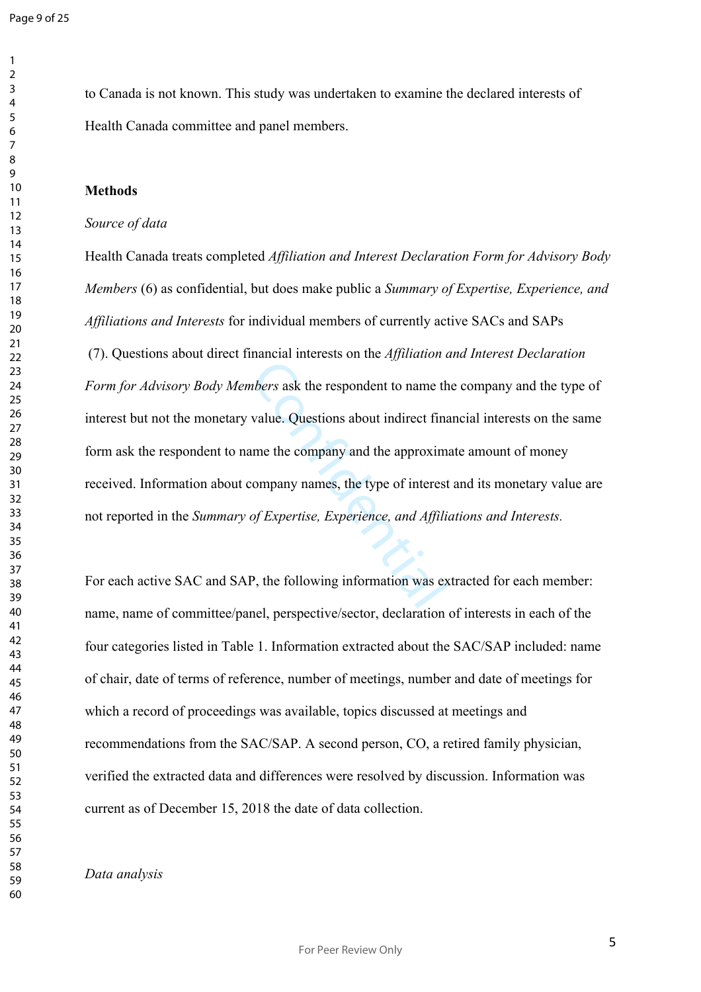to Canada is not known. This study was undertaken to examine the declared interests of Health Canada committee and panel members.

#### **Methods**

#### *Source of data*

market interests on the riggination called the respondent to name the value. Questions about indirect final time the company and the approximation company names, the type of interest of Expertise, Experience, and Affilia Health Canada treats completed *Affiliation and Interest Declaration Form for Advisory Body Members* (6) as confidential, but does make public a *Summary of Expertise, Experience, and Affiliations and Interests* for individual members of currently active SACs and SAPs (7). Questions about direct financial interests on the *Affiliation and Interest Declaration Form for Advisory Body Members* ask the respondent to name the company and the type of interest but not the monetary value. Questions about indirect financial interests on the same form ask the respondent to name the company and the approximate amount of money received. Information about company names, the type of interest and its monetary value are not reported in the *Summary of Expertise, Experience, and Affiliations and Interests.*

For each active SAC and SAP, the following information was extracted for each member: name, name of committee/panel, perspective/sector, declaration of interests in each of the four categories listed in Table 1. Information extracted about the SAC/SAP included: name of chair, date of terms of reference, number of meetings, number and date of meetings for which a record of proceedings was available, topics discussed at meetings and recommendations from the SAC/SAP. A second person, CO, a retired family physician, verified the extracted data and differences were resolved by discussion. Information was current as of December 15, 2018 the date of data collection.

## *Data analysis*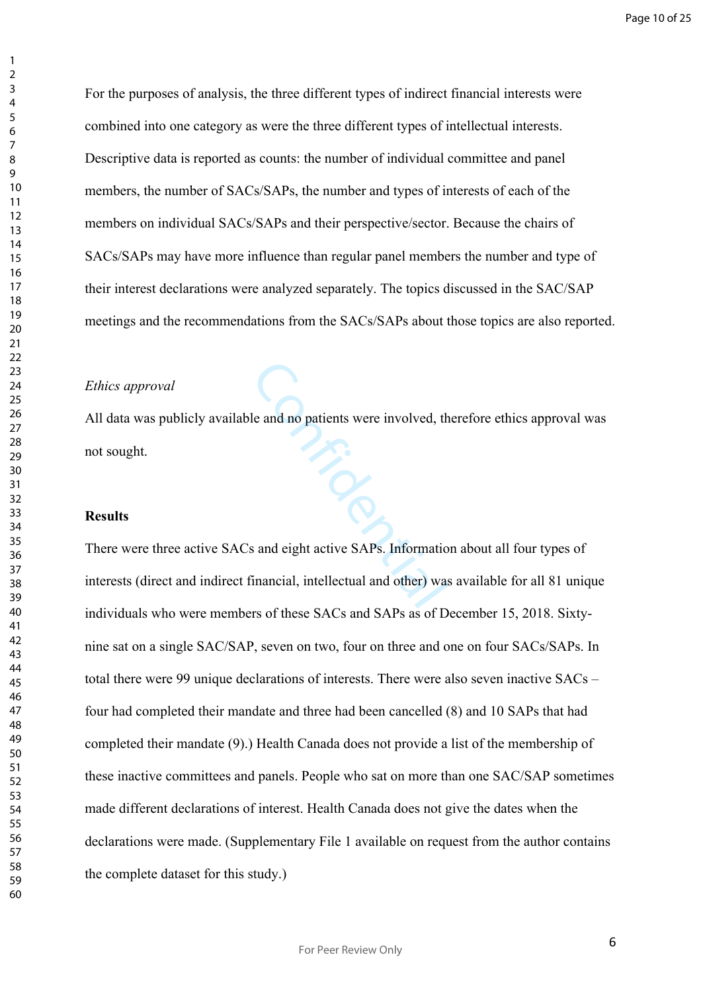For the purposes of analysis, the three different types of indirect financial interests were combined into one category as were the three different types of intellectual interests. Descriptive data is reported as counts: the number of individual committee and panel members, the number of SACs/SAPs, the number and types of interests of each of the members on individual SACs/SAPs and their perspective/sector. Because the chairs of SACs/SAPs may have more influence than regular panel members the number and type of their interest declarations were analyzed separately. The topics discussed in the SAC/SAP meetings and the recommendations from the SACs/SAPs about those topics are also reported.

### *Ethics approval*

Confidential All data was publicly available and no patients were involved, therefore ethics approval was not sought.

### **Results**

There were three active SACs and eight active SAPs. Information about all four types of interests (direct and indirect financial, intellectual and other) was available for all 81 unique individuals who were members of these SACs and SAPs as of December 15, 2018. Sixtynine sat on a single SAC/SAP, seven on two, four on three and one on four SACs/SAPs. In total there were 99 unique declarations of interests. There were also seven inactive SACs – four had completed their mandate and three had been cancelled (8) and 10 SAPs that had completed their mandate (9).) Health Canada does not provide a list of the membership of these inactive committees and panels. People who sat on more than one SAC/SAP sometimes made different declarations of interest. Health Canada does not give the dates when the declarations were made. (Supplementary File 1 available on request from the author contains the complete dataset for this study.)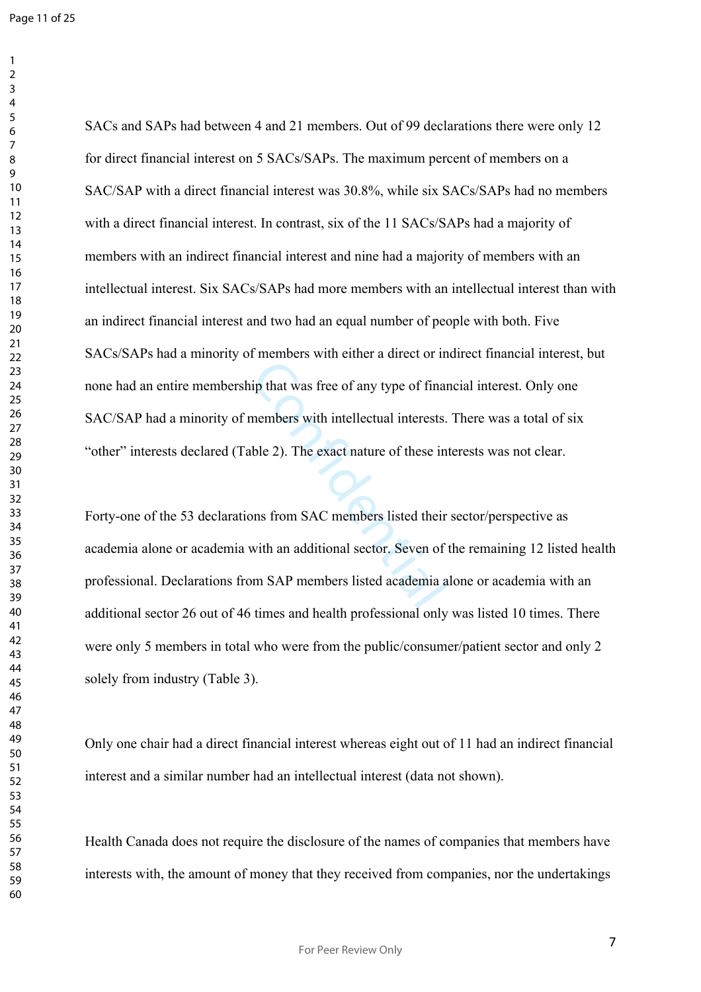in that was free of any type of finar<br>members with intellectual interests.<br>ble 2). The exact nature of these into<br>ms from SAC members listed their<br>with an additional sector. Seven of t<br>m SAP members listed academia a SACs and SAPs had between 4 and 21 members. Out of 99 declarations there were only 12 for direct financial interest on 5 SACs/SAPs. The maximum percent of members on a SAC/SAP with a direct financial interest was 30.8%, while six SACs/SAPs had no members with a direct financial interest. In contrast, six of the 11 SACs/SAPs had a majority of members with an indirect financial interest and nine had a majority of members with an intellectual interest. Six SACs/SAPs had more members with an intellectual interest than with an indirect financial interest and two had an equal number of people with both. Five SACs/SAPs had a minority of members with either a direct or indirect financial interest, but none had an entire membership that was free of any type of financial interest. Only one SAC/SAP had a minority of members with intellectual interests. There was a total of six "other" interests declared (Table 2). The exact nature of these interests was not clear.

Forty-one of the 53 declarations from SAC members listed their sector/perspective as academia alone or academia with an additional sector. Seven of the remaining 12 listed health professional. Declarations from SAP members listed academia alone or academia with an additional sector 26 out of 46 times and health professional only was listed 10 times. There were only 5 members in total who were from the public/consumer/patient sector and only 2 solely from industry (Table 3).

Only one chair had a direct financial interest whereas eight out of 11 had an indirect financial interest and a similar number had an intellectual interest (data not shown).

Health Canada does not require the disclosure of the names of companies that members have interests with, the amount of money that they received from companies, nor the undertakings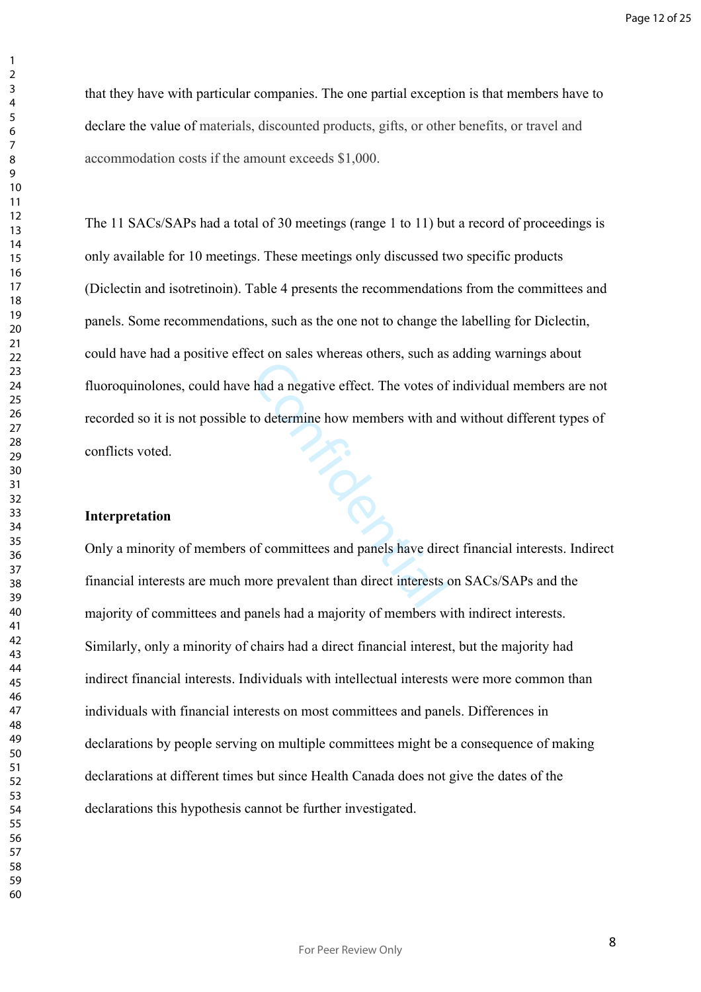Page 12 of 25

that they have with particular companies. The one partial exception is that members have to declare the value of materials, discounted products, gifts, or other benefits, or travel and accommodation costs if the amount exceeds \$1,000.

**Confidential** The 11 SACs/SAPs had a total of 30 meetings (range 1 to 11) but a record of proceedings is only available for 10 meetings. These meetings only discussed two specific products (Diclectin and isotretinoin). Table 4 presents the recommendations from the committees and panels. Some recommendations, such as the one not to change the labelling for Diclectin, could have had a positive effect on sales whereas others, such as adding warnings about fluoroquinolones, could have had a negative effect. The votes of individual members are not recorded so it is not possible to determine how members with and without different types of conflicts voted.

### **Interpretation**

Only a minority of members of committees and panels have direct financial interests. Indirect financial interests are much more prevalent than direct interests on SACs/SAPs and the majority of committees and panels had a majority of members with indirect interests. Similarly, only a minority of chairs had a direct financial interest, but the majority had indirect financial interests. Individuals with intellectual interests were more common than individuals with financial interests on most committees and panels. Differences in declarations by people serving on multiple committees might be a consequence of making declarations at different times but since Health Canada does not give the dates of the declarations this hypothesis cannot be further investigated.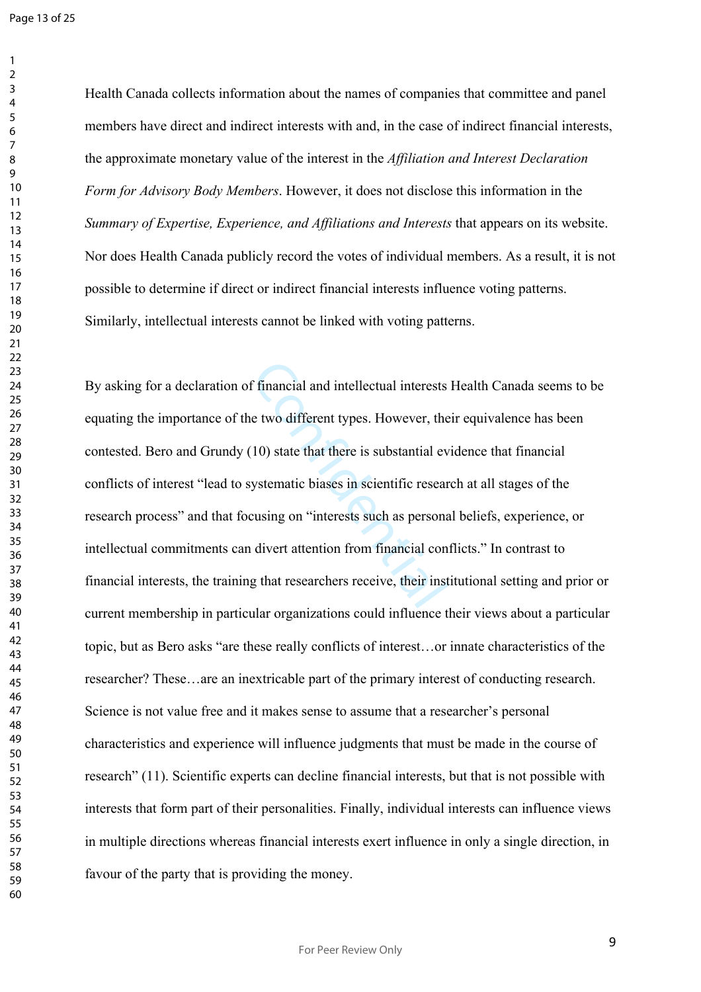Page 13 of 25

 

Health Canada collects information about the names of companies that committee and panel members have direct and indirect interests with and, in the case of indirect financial interests, the approximate monetary value of the interest in the *Affiliation and Interest Declaration Form for Advisory Body Members*. However, it does not disclose this information in the *Summary of Expertise, Experience, and Affiliations and Interests* that appears on its website. Nor does Health Canada publicly record the votes of individual members. As a result, it is not possible to determine if direct or indirect financial interests influence voting patterns. Similarly, intellectual interests cannot be linked with voting patterns.

f financial and intellectual interests<br>e two different types. However, the<br>10) state that there is substantial ev<br>ystematic biases in scientific resear<br>cusing on "interests such as persona<br>divert attention from financial c By asking for a declaration of financial and intellectual interests Health Canada seems to be equating the importance of the two different types. However, their equivalence has been contested. Bero and Grundy (10) state that there is substantial evidence that financial conflicts of interest "lead to systematic biases in scientific research at all stages of the research process" and that focusing on "interests such as personal beliefs, experience, or intellectual commitments can divert attention from financial conflicts." In contrast to financial interests, the training that researchers receive, their institutional setting and prior or current membership in particular organizations could influence their views about a particular topic, but as Bero asks "are these really conflicts of interest…or innate characteristics of the researcher? These…are an inextricable part of the primary interest of conducting research. Science is not value free and it makes sense to assume that a researcher's personal characteristics and experience will influence judgments that must be made in the course of research" (11). Scientific experts can decline financial interests, but that is not possible with interests that form part of their personalities. Finally, individual interests can influence views in multiple directions whereas financial interests exert influence in only a single direction, in favour of the party that is providing the money.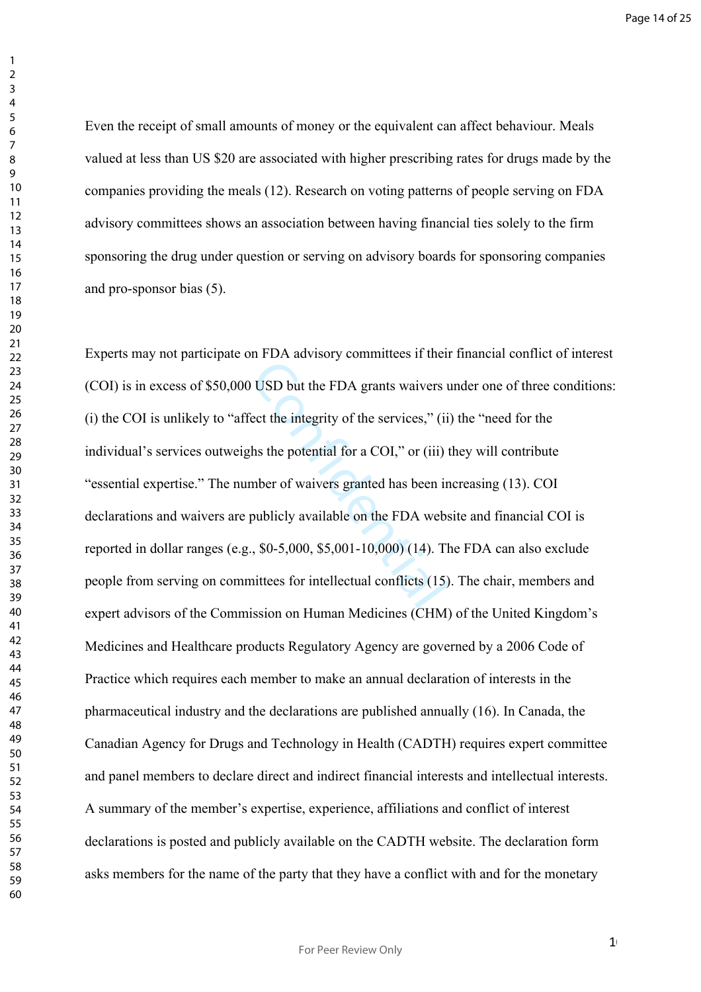Even the receipt of small amounts of money or the equivalent can affect behaviour. Meals valued at less than US \$20 are associated with higher prescribing rates for drugs made by the companies providing the meals (12). Research on voting patterns of people serving on FDA advisory committees shows an association between having financial ties solely to the firm sponsoring the drug under question or serving on advisory boards for sponsoring companies and pro-sponsor bias (5).

USD but the FDA grants waivers used the integrity of the services," (ii hs the potential for a COI," or (iii) the potential for a COI," or (iii) the potential for a COI," or (iii) the potential for a COI," or (iii) the po Experts may not participate on FDA advisory committees if their financial conflict of interest (COI) is in excess of \$50,000 USD but the FDA grants waivers under one of three conditions: (i) the COI is unlikely to "affect the integrity of the services," (ii) the "need for the individual's services outweighs the potential for a COI," or (iii) they will contribute "essential expertise." The number of waivers granted has been increasing (13). COI declarations and waivers are publicly available on the FDA website and financial COI is reported in dollar ranges (e.g., \$0-5,000, \$5,001-10,000) (14). The FDA can also exclude people from serving on committees for intellectual conflicts (15). The chair, members and expert advisors of the Commission on Human Medicines (CHM) of the United Kingdom's Medicines and Healthcare products Regulatory Agency are governed by a 2006 Code of Practice which requires each member to make an annual declaration of interests in the pharmaceutical industry and the declarations are published annually (16). In Canada, the Canadian Agency for Drugs and Technology in Health (CADTH) requires expert committee and panel members to declare direct and indirect financial interests and intellectual interests. A summary of the member's expertise, experience, affiliations and conflict of interest declarations is posted and publicly available on the CADTH website. The declaration form asks members for the name of the party that they have a conflict with and for the monetary

 $1<sub>0</sub>$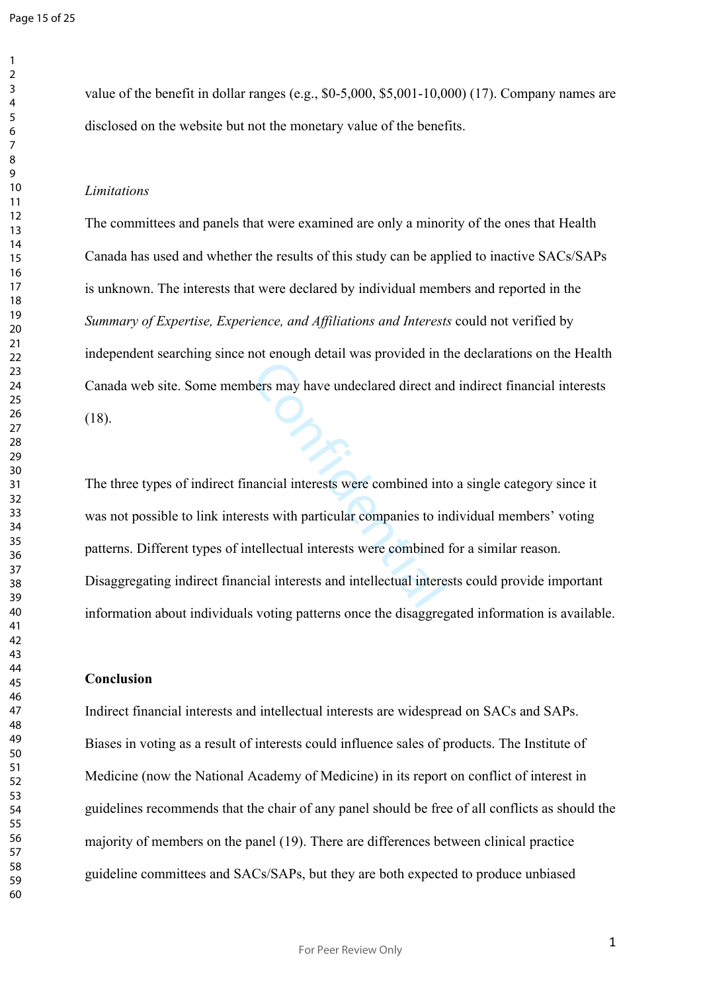value of the benefit in dollar ranges (e.g., \$0-5,000, \$5,001-10,000) (17). Company names are disclosed on the website but not the monetary value of the benefits.

#### *Limitations*

The committees and panels that were examined are only a minority of the ones that Health Canada has used and whether the results of this study can be applied to inactive SACs/SAPs is unknown. The interests that were declared by individual members and reported in the *Summary of Expertise, Experience, and Affiliations and Interests* could not verified by independent searching since not enough detail was provided in the declarations on the Health Canada web site. Some members may have undeclared direct and indirect financial interests (18).

France Confident May provided in the provided in the provided in the provided in the confident of the analysis of the particular companies to intellectual interests were combined in cial interests and intellectual interest The three types of indirect financial interests were combined into a single category since it was not possible to link interests with particular companies to individual members' voting patterns. Different types of intellectual interests were combined for a similar reason. Disaggregating indirect financial interests and intellectual interests could provide important information about individuals voting patterns once the disaggregated information is available.

## **Conclusion**

Indirect financial interests and intellectual interests are widespread on SACs and SAPs. Biases in voting as a result of interests could influence sales of products. The Institute of Medicine (now the National Academy of Medicine) in its report on conflict of interest in guidelines recommends that the chair of any panel should be free of all conflicts as should the majority of members on the panel (19). There are differences between clinical practice guideline committees and SACs/SAPs, but they are both expected to produce unbiased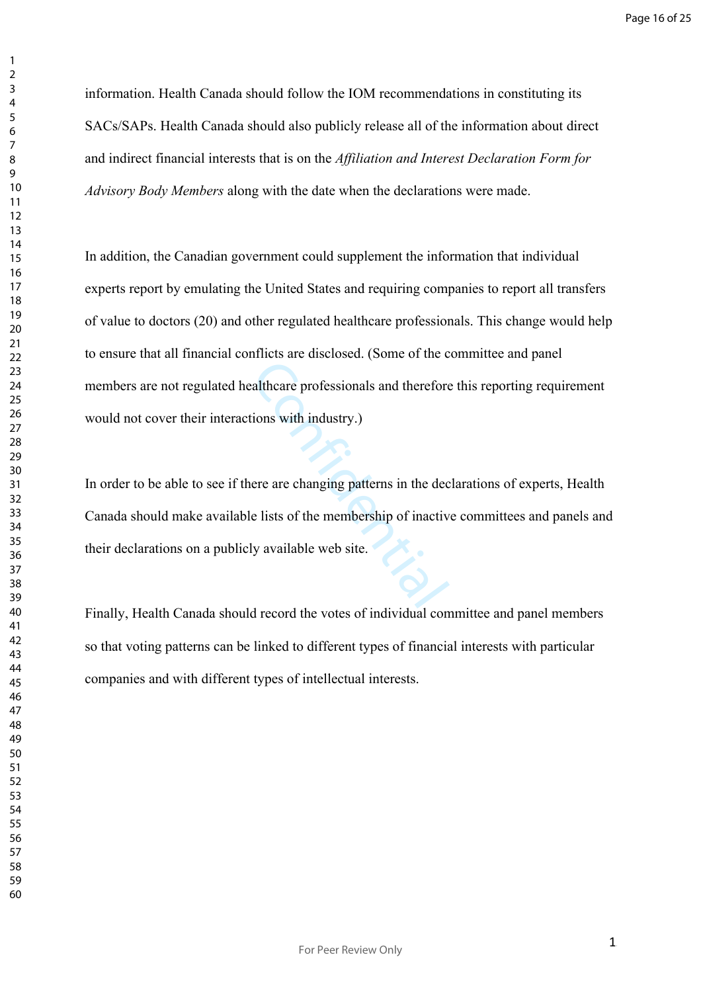Page 16 of 25

information. Health Canada should follow the IOM recommendations in constituting its SACs/SAPs. Health Canada should also publicly release all of the information about direct and indirect financial interests that is on the *Affiliation and Interest Declaration Form for Advisory Body Members* along with the date when the declarations were made.

In addition, the Canadian government could supplement the information that individual experts report by emulating the United States and requiring companies to report all transfers of value to doctors (20) and other regulated healthcare professionals. This change would help to ensure that all financial conflicts are disclosed. (Some of the committee and panel members are not regulated healthcare professionals and therefore this reporting requirement would not cover their interactions with industry.)

althcare professionals and therefore<br>ions with industry.)<br>ere are changing patterns in the dec<br>e lists of the membership of inactive<br>ly available web site. In order to be able to see if there are changing patterns in the declarations of experts, Health Canada should make available lists of the membership of inactive committees and panels and their declarations on a publicly available web site.

Finally, Health Canada should record the votes of individual committee and panel members so that voting patterns can be linked to different types of financial interests with particular companies and with different types of intellectual interests.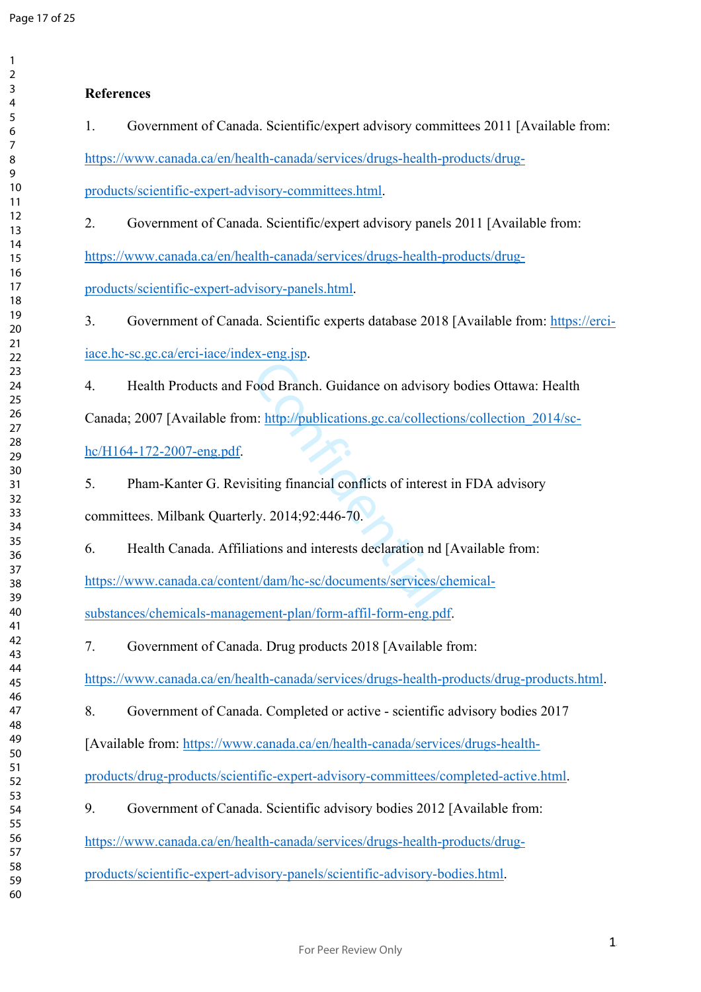$\overline{2}$ 

| 3                            |
|------------------------------|
| 4                            |
| C                            |
|                              |
|                              |
|                              |
| 8                            |
| 9                            |
| 10                           |
| 1<br>1                       |
| 1                            |
| 1<br>3                       |
| $\mathbf{1}$                 |
| 15                           |
|                              |
| 16<br>17                     |
| 18                           |
| 19                           |
| 20<br>ĺ                      |
| $\overline{21}$              |
|                              |
| $\overline{2}$               |
| 23                           |
| 24                           |
| 25                           |
| 26<br>27                     |
|                              |
| 28                           |
| 29                           |
| 30                           |
| 31                           |
| 32                           |
| 33                           |
| 34                           |
| 35                           |
|                              |
| 36                           |
| 37                           |
| 38                           |
| 39                           |
| 40                           |
| 41                           |
| 42                           |
| 43                           |
| 44                           |
| 45                           |
| 46                           |
| 47                           |
| 48                           |
| 49                           |
| 50                           |
| 51                           |
| 52                           |
| $\overline{\mathbf{5}}$<br>3 |
| 54                           |
|                              |
| 55                           |
| 56                           |
| 57                           |
| 58                           |
| 59                           |
| 60                           |

# **References**

- 1. Government of Canada. Scientific/expert advisory committees 2011 [Available from: [https://www.canada.ca/en/health-canada/services/drugs-health-products/drug](https://www.canada.ca/en/health-canada/services/drugs-health-products/drug-products/scientific-expert-advisory-committees.html)[products/scientific-expert-advisory-committees.html](https://www.canada.ca/en/health-canada/services/drugs-health-products/drug-products/scientific-expert-advisory-committees.html). 2. Government of Canada. Scientific/expert advisory panels 2011 [Available from: [https://www.canada.ca/en/health-canada/services/drugs-health-products/drug](https://www.canada.ca/en/health-canada/services/drugs-health-products/drug-products/scientific-expert-advisory-panels.html)[products/scientific-expert-advisory-panels.html.](https://www.canada.ca/en/health-canada/services/drugs-health-products/drug-products/scientific-expert-advisory-panels.html) 3. Government of Canada. Scientific experts database 2018 [Available from: [https://erci](https://erci-iace.hc-sc.gc.ca/erci-iace/index-eng.jsp)[iace.hc-sc.gc.ca/erci-iace/index-eng.jsp.](https://erci-iace.hc-sc.gc.ca/erci-iace/index-eng.jsp) 4. Health Products and Food Branch. Guidance on advisory bodies Ottawa: Health
	- Solution Confidence on advisory<br>
	The Confidence on advisory<br>
	The Confidence on advisory<br>
	Sitting financial conflicts of interest<br>
	Residing financial conflicts of interest<br>
	Residing and interests declaration nd [<br>
	The Confi Canada; 2007 [Available from: [http://publications.gc.ca/collections/collection\\_2014/sc](http://publications.gc.ca/collections/collection_2014/sc-hc/H164-172-2007-eng.pdf)[hc/H164-172-2007-eng.pdf.](http://publications.gc.ca/collections/collection_2014/sc-hc/H164-172-2007-eng.pdf)
	- 5. Pham-Kanter G. Revisiting financial conflicts of interest in FDA advisory committees. Milbank Quarterly. 2014;92:446-70.
	- 6. Health Canada. Affiliations and interests declaration nd [Available from:

[https://www.canada.ca/content/dam/hc-sc/documents/services/chemical-](https://www.canada.ca/content/dam/hc-sc/documents/services/chemical-substances/chemicals-management-plan/form-affil-form-eng.pdf)

[substances/chemicals-management-plan/form-affil-form-eng.pdf.](https://www.canada.ca/content/dam/hc-sc/documents/services/chemical-substances/chemicals-management-plan/form-affil-form-eng.pdf)

7. Government of Canada. Drug products 2018 [Available from:

<https://www.canada.ca/en/health-canada/services/drugs-health-products/drug-products.html>.

8. Government of Canada. Completed or active - scientific advisory bodies 2017

[Available from: [https://www.canada.ca/en/health-canada/services/drugs-health-](https://www.canada.ca/en/health-canada/services/drugs-health-products/drug-products/scientific-expert-advisory-committees/completed-active.html)

[products/drug-products/scientific-expert-advisory-committees/completed-active.html.](https://www.canada.ca/en/health-canada/services/drugs-health-products/drug-products/scientific-expert-advisory-committees/completed-active.html)

9. Government of Canada. Scientific advisory bodies 2012 [Available from:

[https://www.canada.ca/en/health-canada/services/drugs-health-products/drug-](https://www.canada.ca/en/health-canada/services/drugs-health-products/drug-products/scientific-expert-advisory-panels/scientific-advisory-bodies.html)

[products/scientific-expert-advisory-panels/scientific-advisory-bodies.html.](https://www.canada.ca/en/health-canada/services/drugs-health-products/drug-products/scientific-expert-advisory-panels/scientific-advisory-bodies.html)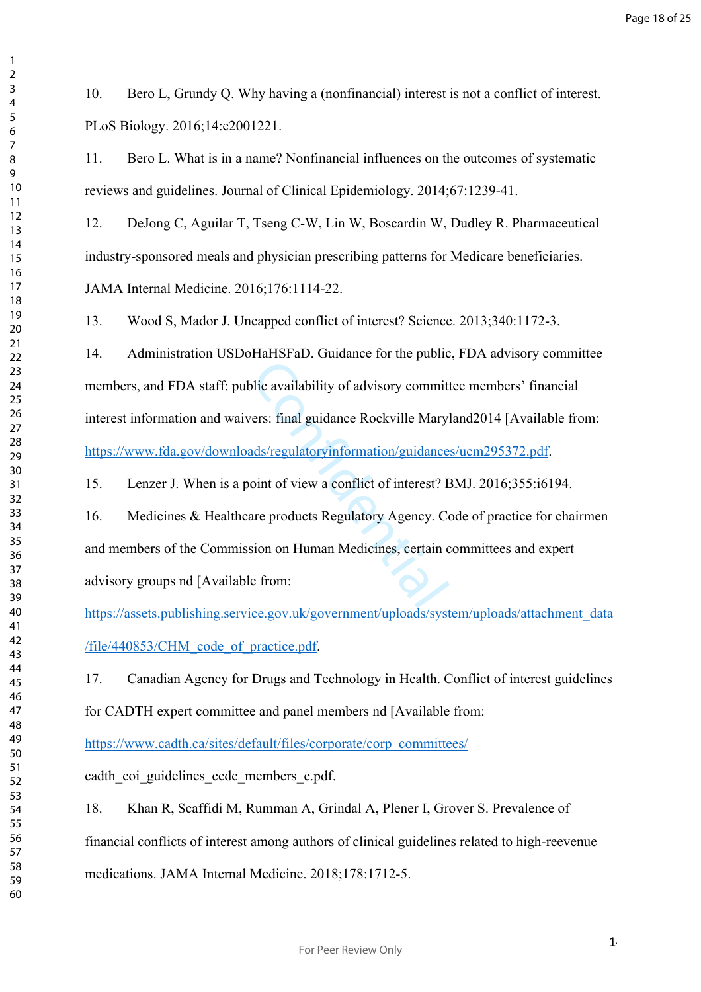> 10. Bero L, Grundy Q. Why having a (nonfinancial) interest is not a conflict of interest. PLoS Biology. 2016;14:e2001221.

> 11. Bero L. What is in a name? Nonfinancial influences on the outcomes of systematic reviews and guidelines. Journal of Clinical Epidemiology. 2014;67:1239-41.

> 12. DeJong C, Aguilar T, Tseng C-W, Lin W, Boscardin W, Dudley R. Pharmaceutical industry-sponsored meals and physician prescribing patterns for Medicare beneficiaries. JAMA Internal Medicine. 2016;176:1114-22.

13. Wood S, Mador J. Uncapped conflict of interest? Science. 2013;340:1172-3.

Transfere. Calculated for the public<br>point ers: final guidance Rockville Mary<br>dds/regulatoryinformation/guidance<br>oint of view a conflict of interest? If<br>are products Regulatory Agency. Co<br>sion on Human Medicines, certain c 14. Administration USDoHaHSFaD. Guidance for the public, FDA advisory committee members, and FDA staff: public availability of advisory committee members' financial interest information and waivers: final guidance Rockville Maryland2014 [Available from: [https://www.fda.gov/downloads/regulatoryinformation/guidances/ucm295372.pdf.](https://www.fda.gov/downloads/regulatoryinformation/guidances/ucm295372.pdf)

15. Lenzer J. When is a point of view a conflict of interest? BMJ. 2016;355:i6194.

16. Medicines & Healthcare products Regulatory Agency. Code of practice for chairmen and members of the Commission on Human Medicines, certain committees and expert advisory groups nd [Available from:

[https://assets.publishing.service.gov.uk/government/uploads/system/uploads/attachment\\_data](https://assets.publishing.service.gov.uk/government/uploads/system/uploads/attachment_data/file/440853/CHM_code_of_practice.pdf) [/file/440853/CHM\\_code\\_of\\_practice.pdf.](https://assets.publishing.service.gov.uk/government/uploads/system/uploads/attachment_data/file/440853/CHM_code_of_practice.pdf)

17. Canadian Agency for Drugs and Technology in Health. Conflict of interest guidelines for CADTH expert committee and panel members nd [Available from:

[https://www.cadth.ca/sites/default/files/corporate/corp\\_committees/](https://www.cadth.ca/sites/default/files/corporate/corp_committees/)

cadth coi guidelines cedc members e.pdf.

18. Khan R, Scaffidi M, Rumman A, Grindal A, Plener I, Grover S. Prevalence of financial conflicts of interest among authors of clinical guidelines related to high-reevenue medications. JAMA Internal Medicine. 2018;178:1712-5.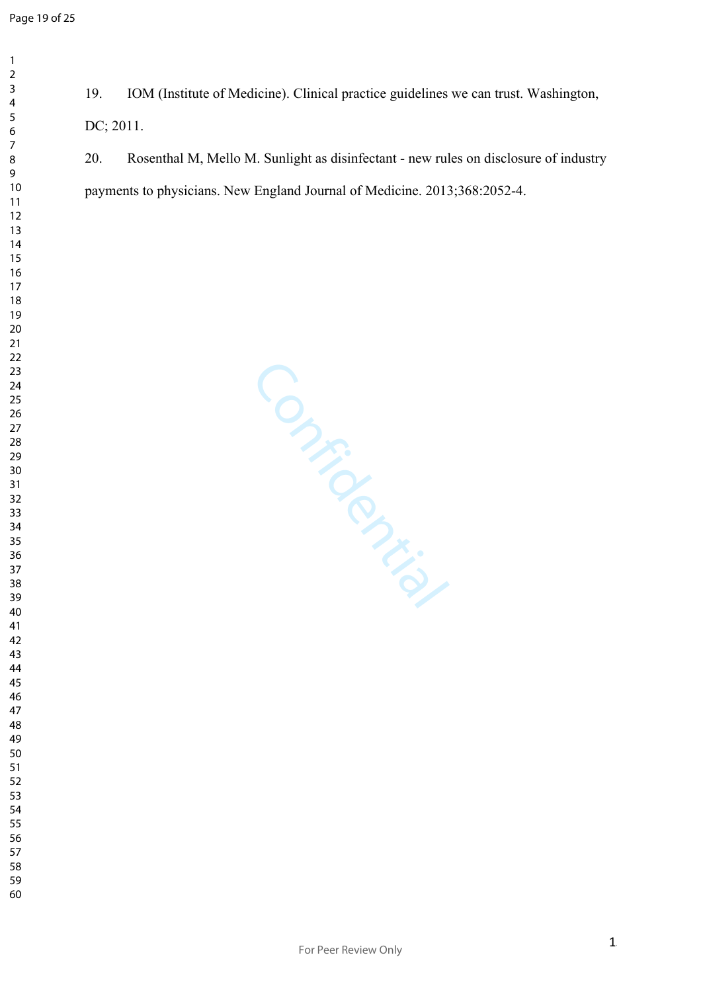19. IOM (Institute of Medicine). Clinical practice guidelines we can trust. Washington, DC; 2011.

20. Rosenthal M, Mello M. Sunlight as disinfectant - new rules on disclosure of industry payments to physicians. New England Journal of Medicine. 2013;368:2052-4.

Confidence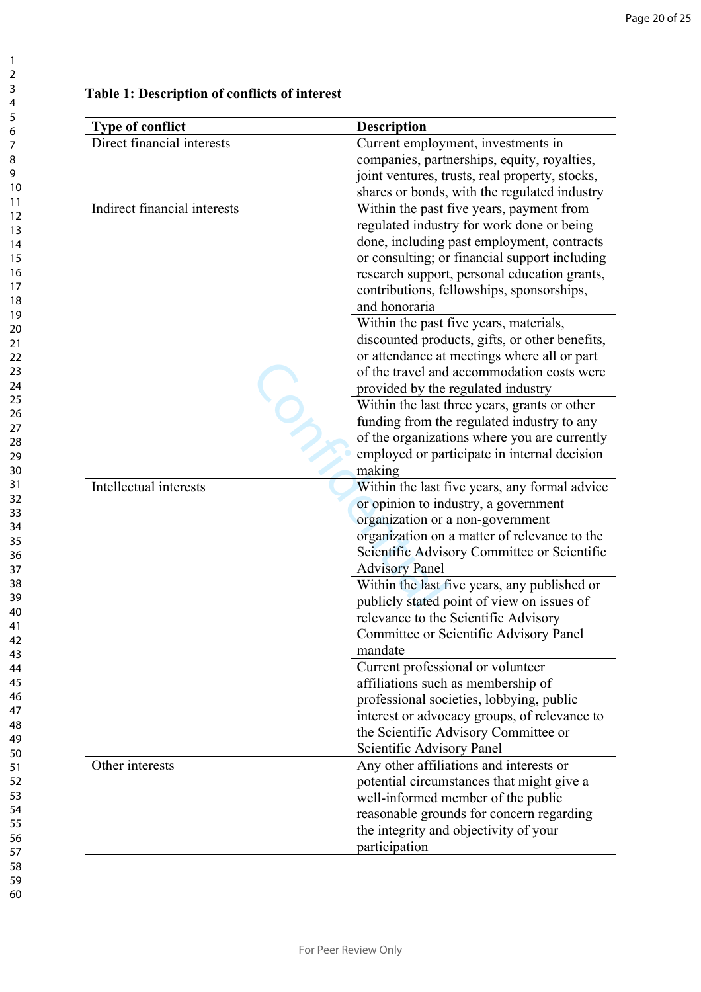| <b>Type of conflict</b>      | <b>Description</b>                                                                       |
|------------------------------|------------------------------------------------------------------------------------------|
| Direct financial interests   | Current employment, investments in                                                       |
|                              | companies, partnerships, equity, royalties,                                              |
|                              | joint ventures, trusts, real property, stocks,                                           |
|                              | shares or bonds, with the regulated industry                                             |
| Indirect financial interests | Within the past five years, payment from                                                 |
|                              | regulated industry for work done or being                                                |
|                              | done, including past employment, contracts                                               |
|                              | or consulting; or financial support including                                            |
|                              | research support, personal education grants,                                             |
|                              | contributions, fellowships, sponsorships,<br>and honoraria                               |
|                              |                                                                                          |
|                              | Within the past five years, materials,<br>discounted products, gifts, or other benefits, |
|                              | or attendance at meetings where all or part                                              |
|                              | of the travel and accommodation costs were                                               |
|                              | provided by the regulated industry                                                       |
|                              | Within the last three years, grants or other                                             |
|                              | funding from the regulated industry to any                                               |
|                              | of the organizations where you are currently                                             |
|                              | employed or participate in internal decision                                             |
|                              | making                                                                                   |
| Intellectual interests       | Within the last five years, any formal advice                                            |
|                              | or opinion to industry, a government                                                     |
|                              | organization or a non-government                                                         |
|                              | organization on a matter of relevance to the                                             |
|                              | Scientific Advisory Committee or Scientific<br><b>Advisory Panel</b>                     |
|                              | Within the last five years, any published or                                             |
|                              | publicly stated point of view on issues of                                               |
|                              | relevance to the Scientific Advisory                                                     |
|                              | Committee or Scientific Advisory Panel                                                   |
|                              | mandate                                                                                  |
|                              | Current professional or volunteer                                                        |
|                              | affiliations such as membership of                                                       |
|                              | professional societies, lobbying, public                                                 |
|                              | interest or advocacy groups, of relevance to                                             |
|                              | the Scientific Advisory Committee or                                                     |
| Other interests              | Scientific Advisory Panel<br>Any other affiliations and interests or                     |
|                              | potential circumstances that might give a                                                |
|                              | well-informed member of the public                                                       |
|                              | reasonable grounds for concern regarding                                                 |
|                              | the integrity and objectivity of your                                                    |
|                              | participation                                                                            |
|                              |                                                                                          |

## **Table 1: Description of conflicts of interest**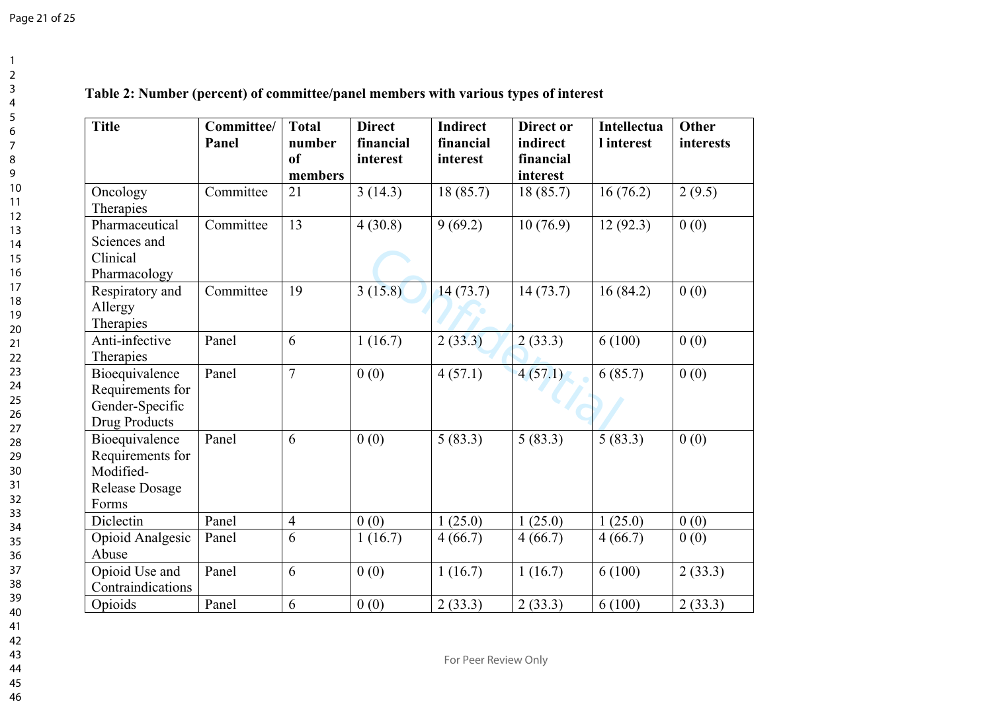| <b>Title</b>                                                                      | Committee/<br>Panel | <b>Total</b><br>number<br><sub>of</sub><br>members | <b>Direct</b><br>financial<br>interest | Indirect<br>financial<br>interest | Direct or<br>indirect<br>financial<br>interest | Intellectua<br>l interest | <b>Other</b><br>interests |
|-----------------------------------------------------------------------------------|---------------------|----------------------------------------------------|----------------------------------------|-----------------------------------|------------------------------------------------|---------------------------|---------------------------|
| Oncology<br>Therapies                                                             | Committee           | 21                                                 | 3(14.3)                                | 18(85.7)                          | 18(85.7)                                       | 16(76.2)                  | 2(9.5)                    |
| Pharmaceutical<br>Sciences and<br>Clinical<br>Pharmacology                        | Committee           | 13                                                 | 4(30.8)                                | 9(69.2)                           | 10(76.9)                                       | 12(92.3)                  | 0(0)                      |
| Respiratory and<br>Allergy<br>Therapies                                           | Committee           | 19                                                 | 3(15.8)                                | 14(73.7)                          | 14(73.7)                                       | 16(84.2)                  | 0(0)                      |
| Anti-infective<br>Therapies                                                       | Panel               | 6                                                  | 1(16.7)                                | 2(33.3)                           | 2(33.3)                                        | 6(100)                    | 0(0)                      |
| Bioequivalence<br>Requirements for<br>Gender-Specific<br>Drug Products            | Panel               | $\overline{7}$                                     | 0(0)                                   | 4(57.1)                           | 4(57.1)                                        | 6(85.7)                   | 0(0)                      |
| Bioequivalence<br>Requirements for<br>Modified-<br><b>Release Dosage</b><br>Forms | Panel               | 6                                                  | 0(0)                                   | 5(83.3)                           | 5(83.3)                                        | 5(83.3)                   | 0(0)                      |
| Diclectin                                                                         | Panel               | $\overline{4}$                                     | 0(0)                                   | 1(25.0)                           | 1(25.0)                                        | 1(25.0)                   | 0(0)                      |
| Opioid Analgesic<br>Abuse                                                         | Panel               | 6                                                  | 1(16.7)                                | 4(66.7)                           | 4(66.7)                                        | 4(66.7)                   | 0(0)                      |
| Opioid Use and<br>Contraindications                                               | Panel               | 6                                                  | 0(0)                                   | 1(16.7)                           | 1(16.7)                                        | 6(100)                    | 2(33.3)                   |
| Opioids                                                                           | Panel               | 6                                                  | 0(0)                                   | 2(33.3)                           | 2(33.3)                                        | 6(100)                    | 2(33.3)                   |

**Table 2: Number (percent) of committee/panel members with various types of interest**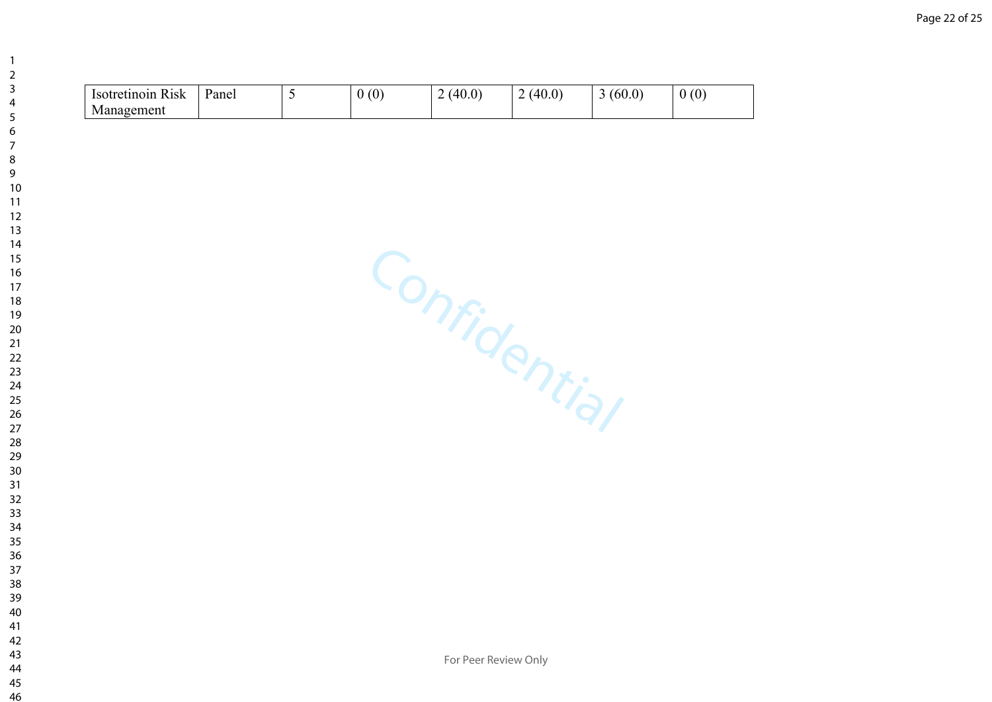| Isotretinoin Risk | Panel | (0) | (40.0)<br>$\cdot$ $\cdot$ | $40.0^{\circ}$<br>140 <sup>7</sup> | (60.0) | (0)<br>∪ |
|-------------------|-------|-----|---------------------------|------------------------------------|--------|----------|
| Management        |       |     |                           |                                    |        |          |

 $\overline{1}$  $\overline{2}$  $\overline{3}$  $\overline{4}$  $\overline{7}$  $\overline{9}$ 

Confidential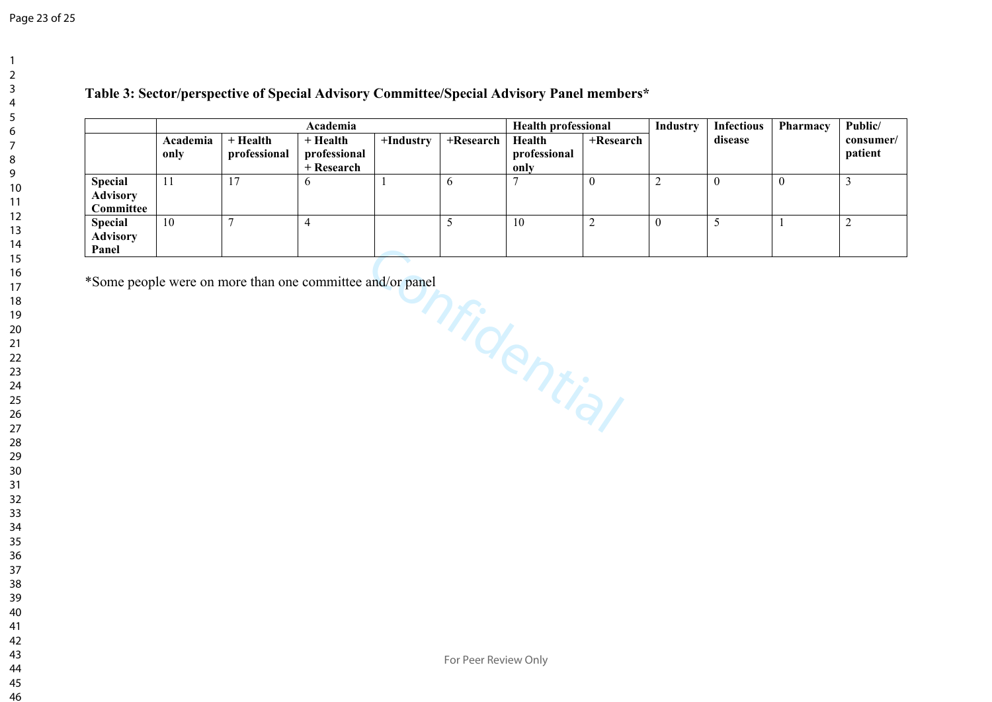# **Table 3: Sector/perspective of Special Advisory Committee/Special Advisory Panel members\***

|                                                | Academia<br><b>Health professional</b> |                          |                          |           |           |                        | <b>Industry</b> | <b>Infectious</b> | Pharmacy | Public/ |                      |
|------------------------------------------------|----------------------------------------|--------------------------|--------------------------|-----------|-----------|------------------------|-----------------|-------------------|----------|---------|----------------------|
|                                                | Academia                               | + Health<br>professional | + Health<br>professional | +Industry | +Research | Health<br>professional | +Research       |                   | disease  |         | consumer/<br>patient |
|                                                | only                                   |                          | + Research               |           |           | only                   |                 |                   |          |         |                      |
| <b>Special</b><br><b>Advisory</b><br>Committee | -11                                    |                          | O                        |           |           |                        |                 |                   |          |         |                      |
| <b>Special</b><br><b>Advisory</b><br>Panel     | 10                                     |                          |                          |           |           | 10                     |                 |                   |          |         | ∼                    |

mittee and/or panel<br>
Mich (China) \*Some people were on more than one committee and/or panel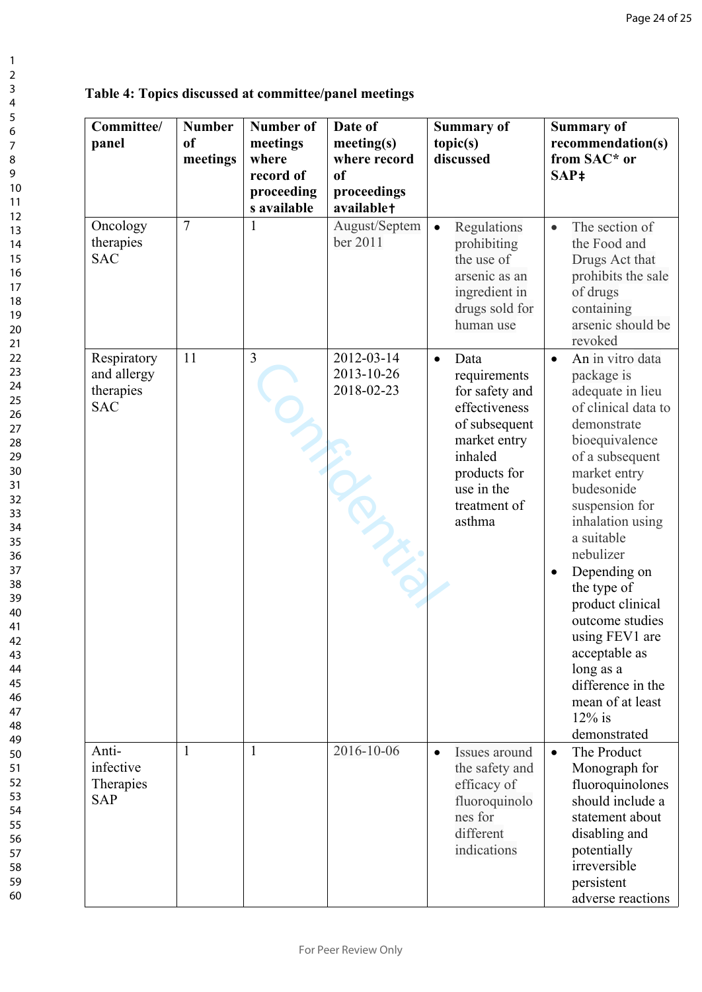## **Table 4: Topics discussed at committee/panel meetings**

| Committee/<br>panel                                   | <b>Number</b><br>of<br>meetings | Number of<br>meetings<br>where<br>record of<br>proceeding<br>s available | Date of<br>meeting(s)<br>where record<br><sub>of</sub><br>proceedings<br>available+ | <b>Summary of</b><br>topic(s)<br>discussed                                                                                                                               | <b>Summary of</b><br>recommendation(s)<br>from SAC* or<br>SAP <sup>‡</sup>                                                                                                                                                                                                                                                                                                                                                            |
|-------------------------------------------------------|---------------------------------|--------------------------------------------------------------------------|-------------------------------------------------------------------------------------|--------------------------------------------------------------------------------------------------------------------------------------------------------------------------|---------------------------------------------------------------------------------------------------------------------------------------------------------------------------------------------------------------------------------------------------------------------------------------------------------------------------------------------------------------------------------------------------------------------------------------|
| Oncology<br>therapies<br><b>SAC</b>                   | $\overline{7}$                  | 1                                                                        | August/Septem<br>ber 2011                                                           | Regulations<br>$\bullet$<br>prohibiting<br>the use of<br>arsenic as an<br>ingredient in<br>drugs sold for<br>human use                                                   | The section of<br>$\bullet$<br>the Food and<br>Drugs Act that<br>prohibits the sale<br>of drugs<br>containing<br>arsenic should be<br>revoked                                                                                                                                                                                                                                                                                         |
| Respiratory<br>and allergy<br>therapies<br><b>SAC</b> | 11                              | $\overline{3}$                                                           | 2012-03-14<br>2013-10-26<br>2018-02-23                                              | Data<br>$\bullet$<br>requirements<br>for safety and<br>effectiveness<br>of subsequent<br>market entry<br>inhaled<br>products for<br>use in the<br>treatment of<br>asthma | An in vitro data<br>$\bullet$<br>package is<br>adequate in lieu<br>of clinical data to<br>demonstrate<br>bioequivalence<br>of a subsequent<br>market entry<br>budesonide<br>suspension for<br>inhalation using<br>a suitable<br>nebulizer<br>Depending on<br>the type of<br>product clinical<br>outcome studies<br>using FEV1 are<br>acceptable as<br>long as a<br>difference in the<br>mean of at least<br>$12\%$ is<br>demonstrated |
| Anti-<br>infective<br><b>Therapies</b><br><b>SAP</b>  | $\mathbf{1}$                    | 1                                                                        | 2016-10-06                                                                          | Issues around<br>$\bullet$<br>the safety and<br>efficacy of<br>fluoroquinolo<br>nes for<br>different<br>indications                                                      | The Product<br>$\bullet$<br>Monograph for<br>fluoroquinolones<br>should include a<br>statement about<br>disabling and<br>potentially<br>irreversible<br>persistent<br>adverse reactions                                                                                                                                                                                                                                               |

59 60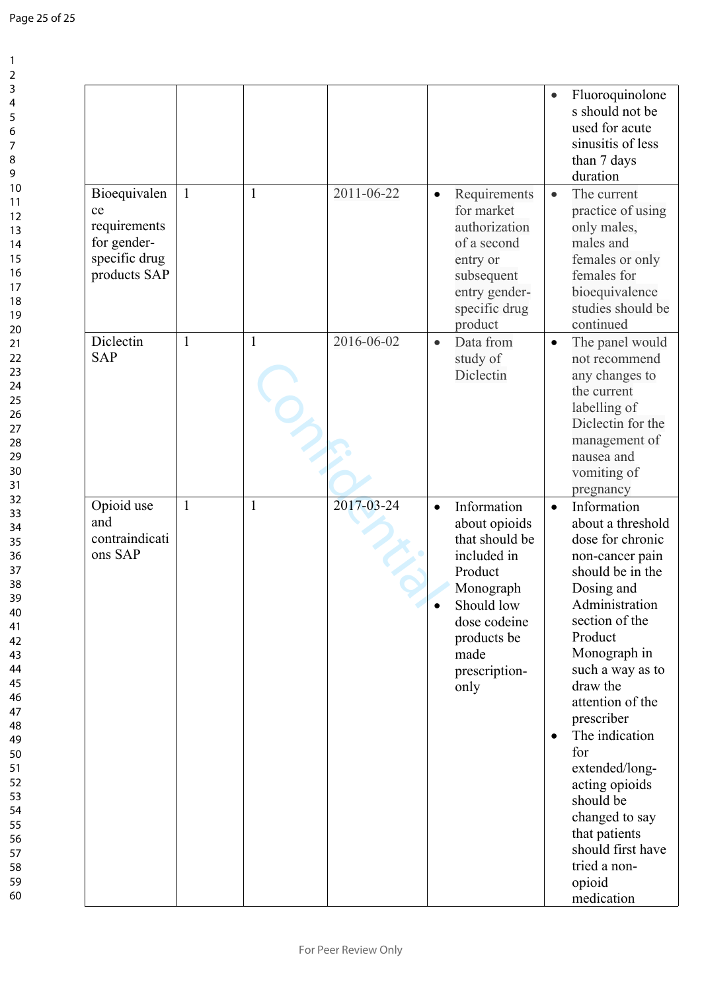|                                                                                    |              |              |            |           |                                                                                                                                                                     |           | Fluoroquinolone<br>s should not be<br>used for acute<br>sinusitis of less<br>than 7 days<br>duration                                                                                                                                                                                                                                                                                                                 |
|------------------------------------------------------------------------------------|--------------|--------------|------------|-----------|---------------------------------------------------------------------------------------------------------------------------------------------------------------------|-----------|----------------------------------------------------------------------------------------------------------------------------------------------------------------------------------------------------------------------------------------------------------------------------------------------------------------------------------------------------------------------------------------------------------------------|
| Bioequivalen<br>ce<br>requirements<br>for gender-<br>specific drug<br>products SAP | $\mathbf{1}$ | $\mathbf{1}$ | 2011-06-22 | $\bullet$ | Requirements<br>for market<br>authorization<br>of a second<br>entry or<br>subsequent<br>entry gender-<br>specific drug<br>product                                   | $\bullet$ | The current<br>practice of using<br>only males,<br>males and<br>females or only<br>females for<br>bioequivalence<br>studies should be<br>continued                                                                                                                                                                                                                                                                   |
| Diclectin<br><b>SAP</b>                                                            | $\mathbf{1}$ | $\mathbf{1}$ | 2016-06-02 | $\bullet$ | Data from<br>study of<br>Diclectin                                                                                                                                  | $\bullet$ | The panel would<br>not recommend<br>any changes to<br>the current<br>labelling of<br>Diclectin for the<br>management of<br>nausea and<br>vomiting of<br>pregnancy                                                                                                                                                                                                                                                    |
| Opioid use<br>and<br>contraindicati<br>ons SAP                                     | $\mathbf{1}$ | $\mathbf{1}$ | 2017-03-24 | $\bullet$ | Information<br>about opioids<br>that should be<br>included in<br>Product<br>Monograph<br>Should low<br>dose codeine<br>products be<br>made<br>prescription-<br>only | $\bullet$ | Information<br>about a threshold<br>dose for chronic<br>non-cancer pain<br>should be in the<br>Dosing and<br>Administration<br>section of the<br>Product<br>Monograph in<br>such a way as to<br>draw the<br>attention of the<br>prescriber<br>The indication<br>for<br>extended/long-<br>acting opioids<br>should be<br>changed to say<br>that patients<br>should first have<br>tried a non-<br>opioid<br>medication |